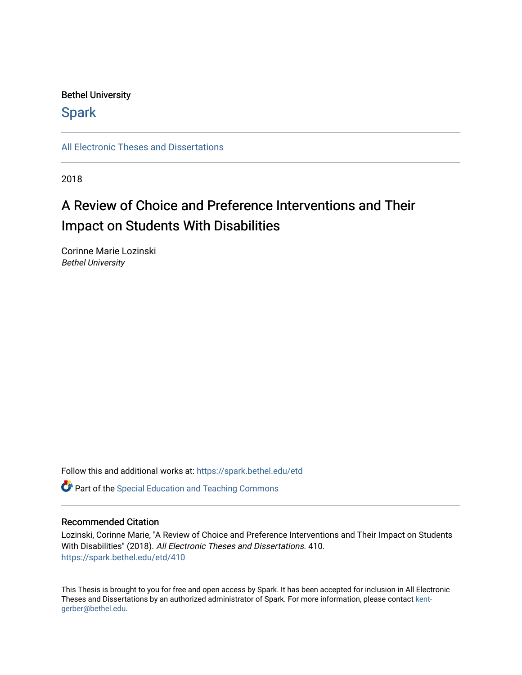## Bethel University

## **Spark**

[All Electronic Theses and Dissertations](https://spark.bethel.edu/etd) 

2018

# A Review of Choice and Preference Interventions and Their Impact on Students With Disabilities

Corinne Marie Lozinski Bethel University

Follow this and additional works at: [https://spark.bethel.edu/etd](https://spark.bethel.edu/etd?utm_source=spark.bethel.edu%2Fetd%2F410&utm_medium=PDF&utm_campaign=PDFCoverPages)

**C** Part of the Special Education and Teaching Commons

## Recommended Citation

Lozinski, Corinne Marie, "A Review of Choice and Preference Interventions and Their Impact on Students With Disabilities" (2018). All Electronic Theses and Dissertations. 410. [https://spark.bethel.edu/etd/410](https://spark.bethel.edu/etd/410?utm_source=spark.bethel.edu%2Fetd%2F410&utm_medium=PDF&utm_campaign=PDFCoverPages)

This Thesis is brought to you for free and open access by Spark. It has been accepted for inclusion in All Electronic Theses and Dissertations by an authorized administrator of Spark. For more information, please contact [kent](mailto:kent-gerber@bethel.edu)[gerber@bethel.edu.](mailto:kent-gerber@bethel.edu)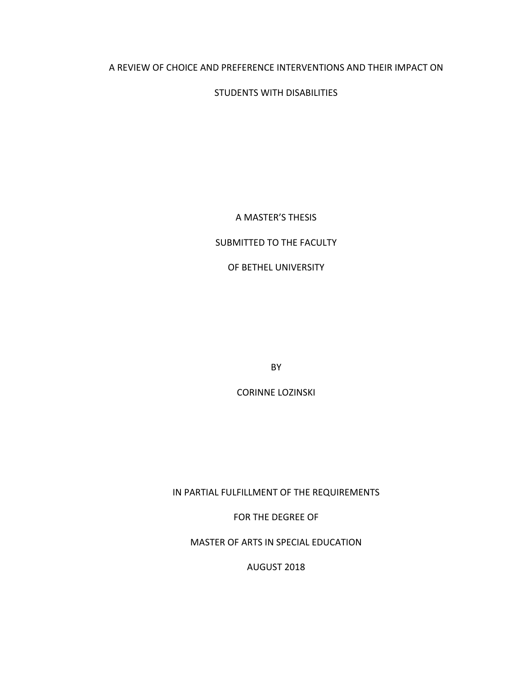## A REVIEW OF CHOICE AND PREFERENCE INTERVENTIONS AND THEIR IMPACT ON

STUDENTS WITH DISABILITIES

A MASTER'S THESIS

## SUBMITTED TO THE FACULTY

OF BETHEL UNIVERSITY

BY

CORINNE LOZINSKI

IN PARTIAL FULFILLMENT OF THE REQUIREMENTS

FOR THE DEGREE OF

MASTER OF ARTS IN SPECIAL EDUCATION

AUGUST 2018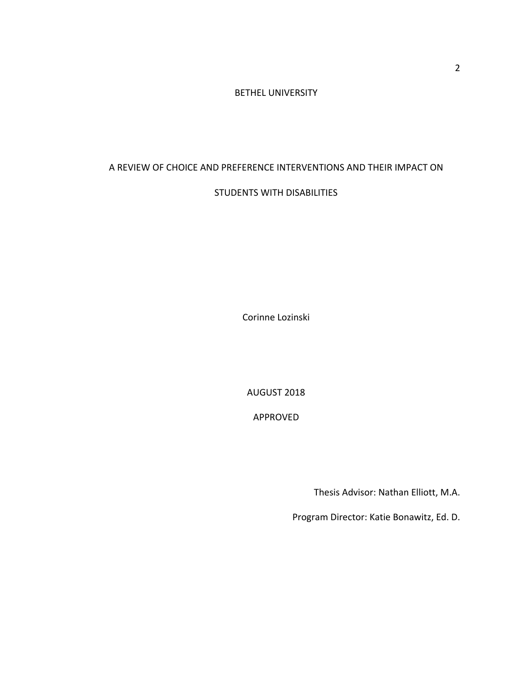#### BETHEL UNIVERSITY

## A REVIEW OF CHOICE AND PREFERENCE INTERVENTIONS AND THEIR IMPACT ON

## STUDENTS WITH DISABILITIES

Corinne Lozinski

AUGUST 2018

APPROVED

Thesis Advisor: Nathan Elliott, M.A.

Program Director: Katie Bonawitz, Ed. D.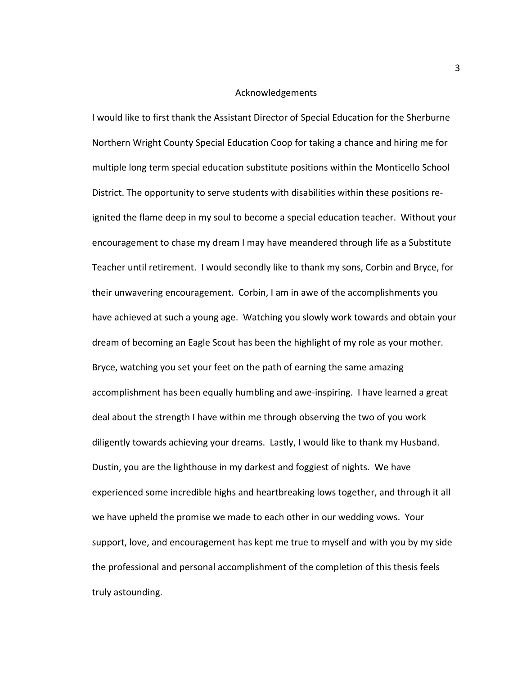#### Acknowledgements

I would like to first thank the Assistant Director of Special Education for the Sherburne Northern Wright County Special Education Coop for taking a chance and hiring me for multiple long term special education substitute positions within the Monticello School District. The opportunity to serve students with disabilities within these positions reignited the flame deep in my soul to become a special education teacher. Without your encouragement to chase my dream I may have meandered through life as a Substitute Teacher until retirement. I would secondly like to thank my sons, Corbin and Bryce, for their unwavering encouragement. Corbin, I am in awe of the accomplishments you have achieved at such a young age. Watching you slowly work towards and obtain your dream of becoming an Eagle Scout has been the highlight of my role as your mother. Bryce, watching you set your feet on the path of earning the same amazing accomplishment has been equally humbling and awe-inspiring. I have learned a great deal about the strength I have within me through observing the two of you work diligently towards achieving your dreams. Lastly, I would like to thank my Husband. Dustin, you are the lighthouse in my darkest and foggiest of nights. We have experienced some incredible highs and heartbreaking lows together, and through it all we have upheld the promise we made to each other in our wedding vows. Your support, love, and encouragement has kept me true to myself and with you by my side the professional and personal accomplishment of the completion of this thesis feels truly astounding.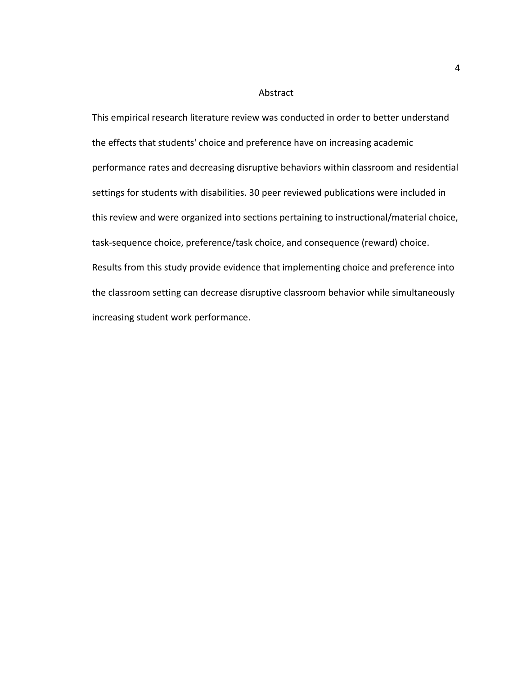#### Abstract

This empirical research literature review was conducted in order to better understand the effects that students' choice and preference have on increasing academic performance rates and decreasing disruptive behaviors within classroom and residential settings for students with disabilities. 30 peer reviewed publications were included in this review and were organized into sections pertaining to instructional/material choice, task-sequence choice, preference/task choice, and consequence (reward) choice. Results from this study provide evidence that implementing choice and preference into the classroom setting can decrease disruptive classroom behavior while simultaneously increasing student work performance.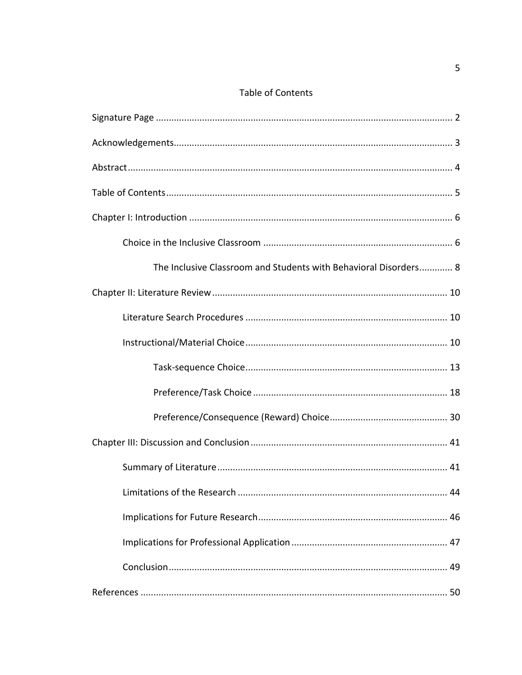## Table of Contents

| The Inclusive Classroom and Students with Behavioral Disorders 8 |
|------------------------------------------------------------------|
|                                                                  |
|                                                                  |
|                                                                  |
|                                                                  |
|                                                                  |
|                                                                  |
|                                                                  |
|                                                                  |
| 44                                                               |
|                                                                  |
|                                                                  |
|                                                                  |
|                                                                  |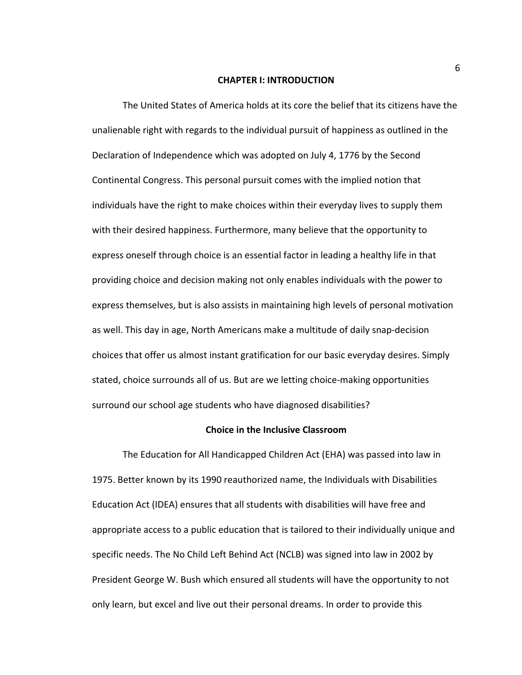#### **CHAPTER I: INTRODUCTION**

The United States of America holds at its core the belief that its citizens have the unalienable right with regards to the individual pursuit of happiness as outlined in the Declaration of Independence which was adopted on July 4, 1776 by the Second Continental Congress. This personal pursuit comes with the implied notion that individuals have the right to make choices within their everyday lives to supply them with their desired happiness. Furthermore, many believe that the opportunity to express oneself through choice is an essential factor in leading a healthy life in that providing choice and decision making not only enables individuals with the power to express themselves, but is also assists in maintaining high levels of personal motivation as well. This day in age, North Americans make a multitude of daily snap-decision choices that offer us almost instant gratification for our basic everyday desires. Simply stated, choice surrounds all of us. But are we letting choice-making opportunities surround our school age students who have diagnosed disabilities?

#### **Choice in the Inclusive Classroom**

The Education for All Handicapped Children Act (EHA) was passed into law in 1975. Better known by its 1990 reauthorized name, the Individuals with Disabilities Education Act (IDEA) ensures that all students with disabilities will have free and appropriate access to a public education that is tailored to their individually unique and specific needs. The No Child Left Behind Act (NCLB) was signed into law in 2002 by President George W. Bush which ensured all students will have the opportunity to not only learn, but excel and live out their personal dreams. In order to provide this

6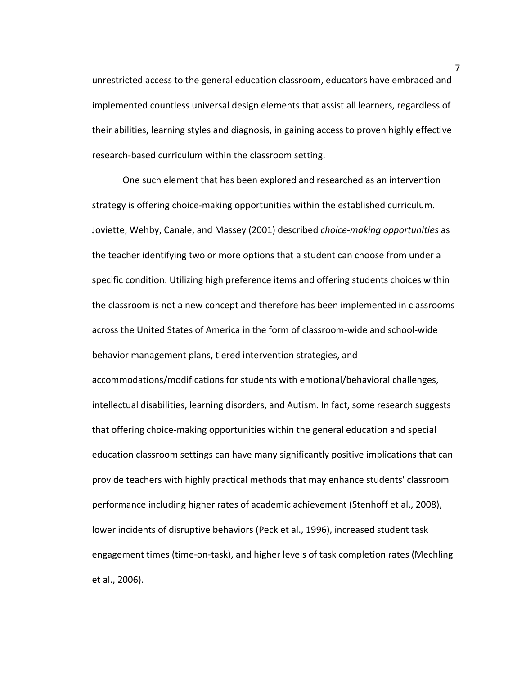unrestricted access to the general education classroom, educators have embraced and implemented countless universal design elements that assist all learners, regardless of their abilities, learning styles and diagnosis, in gaining access to proven highly effective research-based curriculum within the classroom setting.

One such element that has been explored and researched as an intervention strategy is offering choice-making opportunities within the established curriculum. Joviette, Wehby, Canale, and Massey (2001) described *choice-making opportunities* as the teacher identifying two or more options that a student can choose from under a specific condition. Utilizing high preference items and offering students choices within the classroom is not a new concept and therefore has been implemented in classrooms across the United States of America in the form of classroom-wide and school-wide behavior management plans, tiered intervention strategies, and accommodations/modifications for students with emotional/behavioral challenges, intellectual disabilities, learning disorders, and Autism. In fact, some research suggests that offering choice-making opportunities within the general education and special education classroom settings can have many significantly positive implications that can provide teachers with highly practical methods that may enhance students' classroom performance including higher rates of academic achievement (Stenhoff et al., 2008), lower incidents of disruptive behaviors (Peck et al., 1996), increased student task engagement times (time-on-task), and higher levels of task completion rates (Mechling et al., 2006).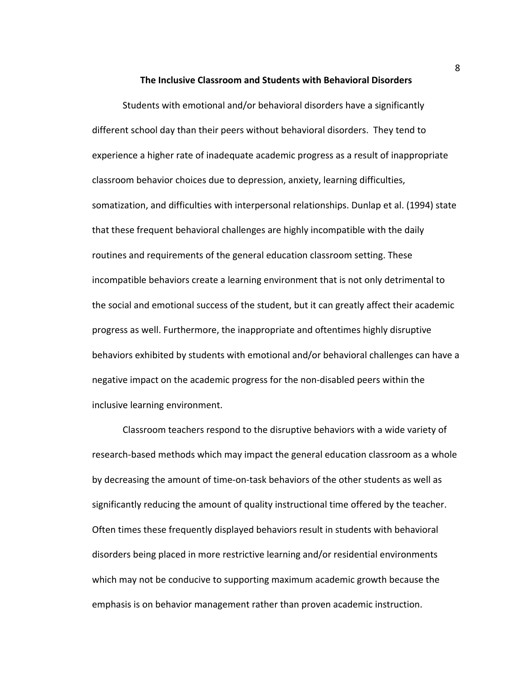#### **The Inclusive Classroom and Students with Behavioral Disorders**

Students with emotional and/or behavioral disorders have a significantly different school day than their peers without behavioral disorders. They tend to experience a higher rate of inadequate academic progress as a result of inappropriate classroom behavior choices due to depression, anxiety, learning difficulties, somatization, and difficulties with interpersonal relationships. Dunlap et al. (1994) state that these frequent behavioral challenges are highly incompatible with the daily routines and requirements of the general education classroom setting. These incompatible behaviors create a learning environment that is not only detrimental to the social and emotional success of the student, but it can greatly affect their academic progress as well. Furthermore, the inappropriate and oftentimes highly disruptive behaviors exhibited by students with emotional and/or behavioral challenges can have a negative impact on the academic progress for the non-disabled peers within the inclusive learning environment.

Classroom teachers respond to the disruptive behaviors with a wide variety of research-based methods which may impact the general education classroom as a whole by decreasing the amount of time-on-task behaviors of the other students as well as significantly reducing the amount of quality instructional time offered by the teacher. Often times these frequently displayed behaviors result in students with behavioral disorders being placed in more restrictive learning and/or residential environments which may not be conducive to supporting maximum academic growth because the emphasis is on behavior management rather than proven academic instruction.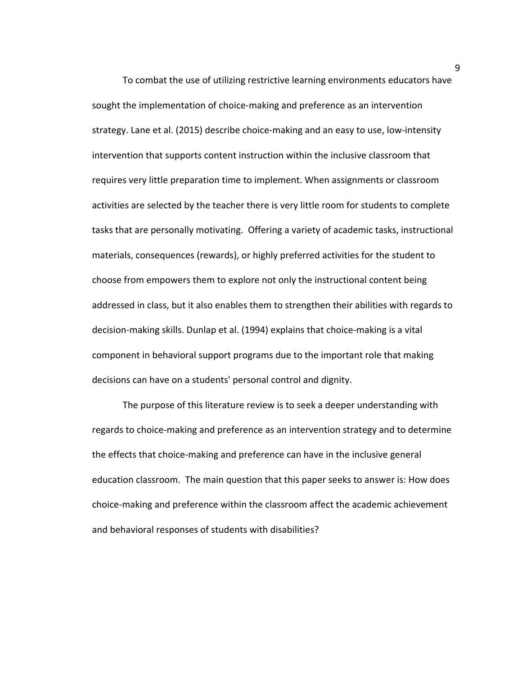To combat the use of utilizing restrictive learning environments educators have sought the implementation of choice-making and preference as an intervention strategy. Lane et al. (2015) describe choice-making and an easy to use, low-intensity intervention that supports content instruction within the inclusive classroom that requires very little preparation time to implement. When assignments or classroom activities are selected by the teacher there is very little room for students to complete tasks that are personally motivating. Offering a variety of academic tasks, instructional materials, consequences (rewards), or highly preferred activities for the student to choose from empowers them to explore not only the instructional content being addressed in class, but it also enables them to strengthen their abilities with regards to decision-making skills. Dunlap et al. (1994) explains that choice-making is a vital component in behavioral support programs due to the important role that making decisions can have on a students' personal control and dignity.

The purpose of this literature review is to seek a deeper understanding with regards to choice-making and preference as an intervention strategy and to determine the effects that choice-making and preference can have in the inclusive general education classroom. The main question that this paper seeks to answer is: How does choice-making and preference within the classroom affect the academic achievement and behavioral responses of students with disabilities?

9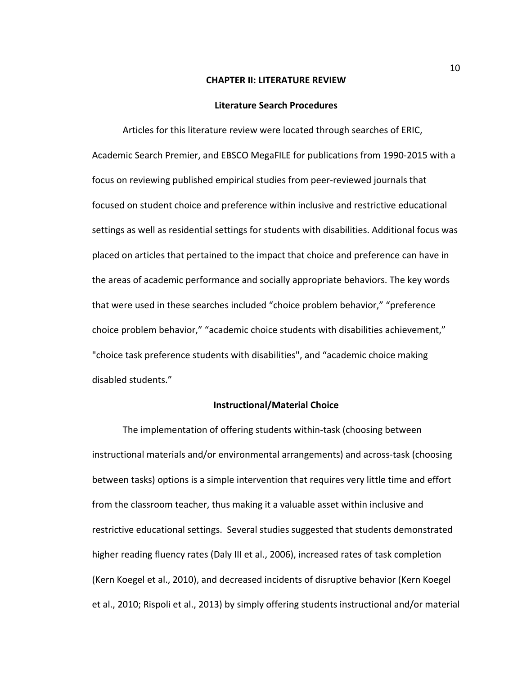#### **CHAPTER II: LITERATURE REVIEW**

#### **Literature Search Procedures**

Articles for this literature review were located through searches of ERIC, Academic Search Premier, and EBSCO MegaFILE for publications from 1990-2015 with a focus on reviewing published empirical studies from peer-reviewed journals that focused on student choice and preference within inclusive and restrictive educational settings as well as residential settings for students with disabilities. Additional focus was placed on articles that pertained to the impact that choice and preference can have in the areas of academic performance and socially appropriate behaviors. The key words that were used in these searches included "choice problem behavior," "preference choice problem behavior," "academic choice students with disabilities achievement," "choice task preference students with disabilities", and "academic choice making disabled students."

#### **Instructional/Material Choice**

The implementation of offering students within-task (choosing between instructional materials and/or environmental arrangements) and across-task (choosing between tasks) options is a simple intervention that requires very little time and effort from the classroom teacher, thus making it a valuable asset within inclusive and restrictive educational settings. Several studies suggested that students demonstrated higher reading fluency rates (Daly III et al., 2006), increased rates of task completion (Kern Koegel et al., 2010), and decreased incidents of disruptive behavior (Kern Koegel et al., 2010; Rispoli et al., 2013) by simply offering students instructional and/or material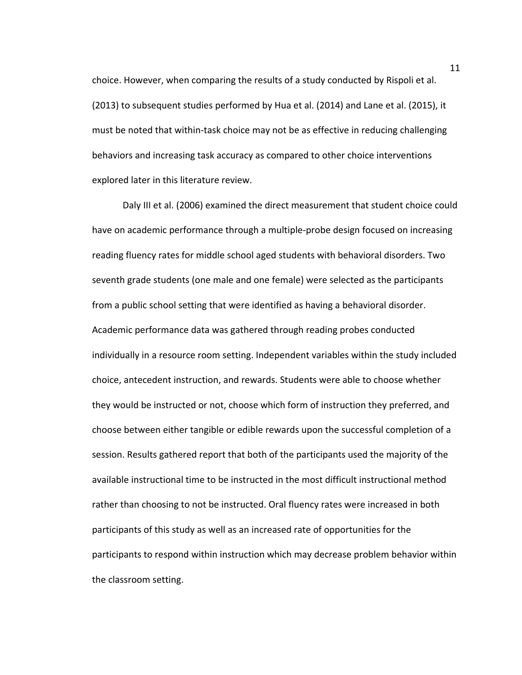choice. However, when comparing the results of a study conducted by Rispoli et al. (2013) to subsequent studies performed by Hua et al. (2014) and Lane et al. (2015), it must be noted that within-task choice may not be as effective in reducing challenging behaviors and increasing task accuracy as compared to other choice interventions explored later in this literature review.

Daly III et al. (2006) examined the direct measurement that student choice could have on academic performance through a multiple-probe design focused on increasing reading fluency rates for middle school aged students with behavioral disorders. Two seventh grade students (one male and one female) were selected as the participants from a public school setting that were identified as having a behavioral disorder. Academic performance data was gathered through reading probes conducted individually in a resource room setting. Independent variables within the study included choice, antecedent instruction, and rewards. Students were able to choose whether they would be instructed or not, choose which form of instruction they preferred, and choose between either tangible or edible rewards upon the successful completion of a session. Results gathered report that both of the participants used the majority of the available instructional time to be instructed in the most difficult instructional method rather than choosing to not be instructed. Oral fluency rates were increased in both participants of this study as well as an increased rate of opportunities for the participants to respond within instruction which may decrease problem behavior within the classroom setting.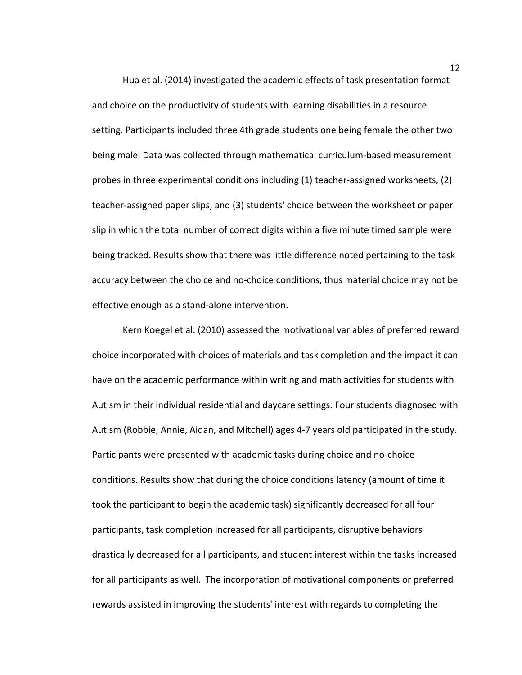Hua et al. (2014) investigated the academic effects of task presentation format and choice on the productivity of students with learning disabilities in a resource setting. Participants included three 4th grade students one being female the other two being male. Data was collected through mathematical curriculum-based measurement probes in three experimental conditions including (1) teacher-assigned worksheets, (2) teacher-assigned paper slips, and (3) students' choice between the worksheet or paper slip in which the total number of correct digits within a five minute timed sample were being tracked. Results show that there was little difference noted pertaining to the task accuracy between the choice and no-choice conditions, thus material choice may not be effective enough as a stand-alone intervention.

Kern Koegel et al. (2010) assessed the motivational variables of preferred reward choice incorporated with choices of materials and task completion and the impact it can have on the academic performance within writing and math activities for students with Autism in their individual residential and daycare settings. Four students diagnosed with Autism (Robbie, Annie, Aidan, and Mitchell) ages 4-7 years old participated in the study. Participants were presented with academic tasks during choice and no-choice conditions. Results show that during the choice conditions latency (amount of time it took the participant to begin the academic task) significantly decreased for all four participants, task completion increased for all participants, disruptive behaviors drastically decreased for all participants, and student interest within the tasks increased for all participants as well. The incorporation of motivational components or preferred rewards assisted in improving the students' interest with regards to completing the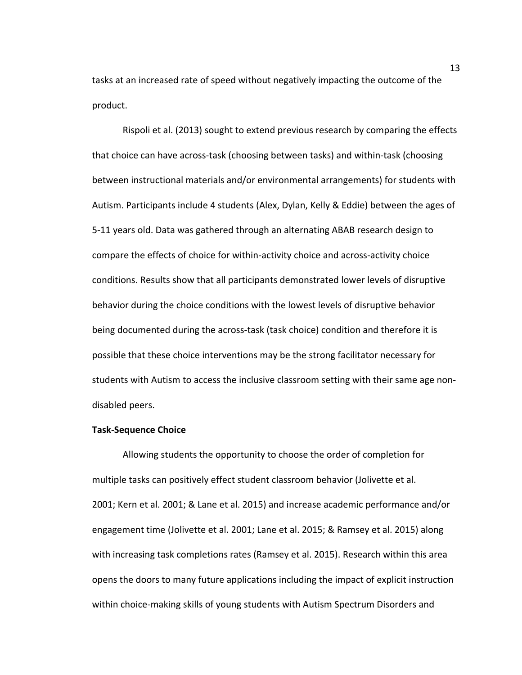tasks at an increased rate of speed without negatively impacting the outcome of the product.

Rispoli et al. (2013) sought to extend previous research by comparing the effects that choice can have across-task (choosing between tasks) and within-task (choosing between instructional materials and/or environmental arrangements) for students with Autism. Participants include 4 students (Alex, Dylan, Kelly & Eddie) between the ages of 5-11 years old. Data was gathered through an alternating ABAB research design to compare the effects of choice for within-activity choice and across-activity choice conditions. Results show that all participants demonstrated lower levels of disruptive behavior during the choice conditions with the lowest levels of disruptive behavior being documented during the across-task (task choice) condition and therefore it is possible that these choice interventions may be the strong facilitator necessary for students with Autism to access the inclusive classroom setting with their same age nondisabled peers.

#### **Task-Sequence Choice**

Allowing students the opportunity to choose the order of completion for multiple tasks can positively effect student classroom behavior (Jolivette et al. 2001; Kern et al. 2001; & Lane et al. 2015) and increase academic performance and/or engagement time (Jolivette et al. 2001; Lane et al. 2015; & Ramsey et al. 2015) along with increasing task completions rates (Ramsey et al. 2015). Research within this area opens the doors to many future applications including the impact of explicit instruction within choice-making skills of young students with Autism Spectrum Disorders and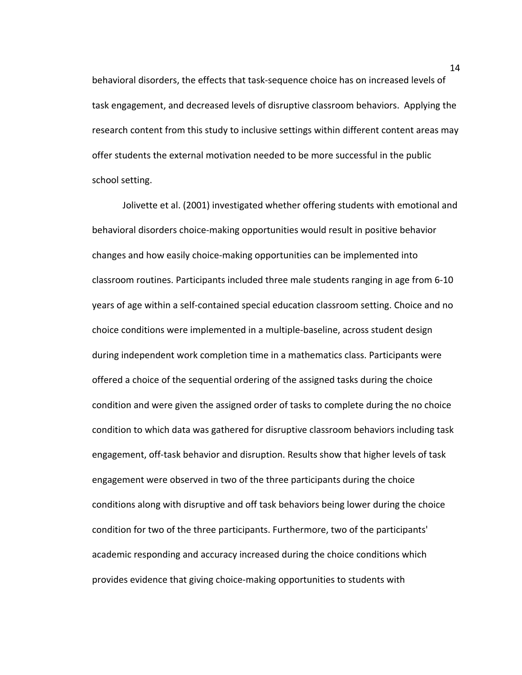behavioral disorders, the effects that task-sequence choice has on increased levels of task engagement, and decreased levels of disruptive classroom behaviors. Applying the research content from this study to inclusive settings within different content areas may offer students the external motivation needed to be more successful in the public school setting.

Jolivette et al. (2001) investigated whether offering students with emotional and behavioral disorders choice-making opportunities would result in positive behavior changes and how easily choice-making opportunities can be implemented into classroom routines. Participants included three male students ranging in age from 6-10 years of age within a self-contained special education classroom setting. Choice and no choice conditions were implemented in a multiple-baseline, across student design during independent work completion time in a mathematics class. Participants were offered a choice of the sequential ordering of the assigned tasks during the choice condition and were given the assigned order of tasks to complete during the no choice condition to which data was gathered for disruptive classroom behaviors including task engagement, off-task behavior and disruption. Results show that higher levels of task engagement were observed in two of the three participants during the choice conditions along with disruptive and off task behaviors being lower during the choice condition for two of the three participants. Furthermore, two of the participants' academic responding and accuracy increased during the choice conditions which provides evidence that giving choice-making opportunities to students with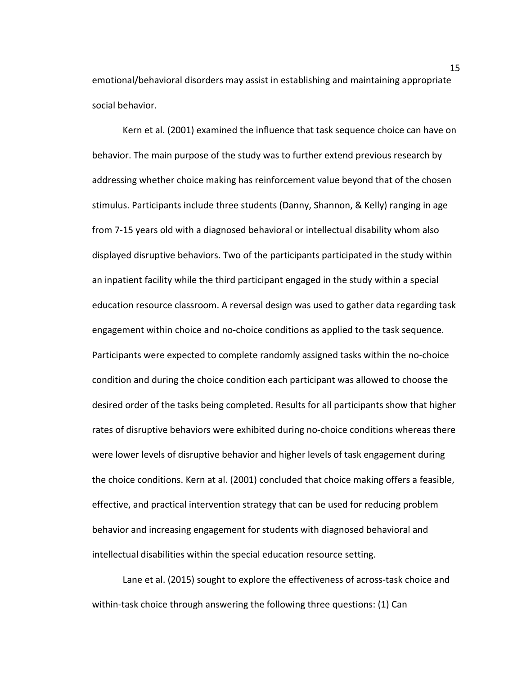emotional/behavioral disorders may assist in establishing and maintaining appropriate social behavior.

Kern et al. (2001) examined the influence that task sequence choice can have on behavior. The main purpose of the study was to further extend previous research by addressing whether choice making has reinforcement value beyond that of the chosen stimulus. Participants include three students (Danny, Shannon, & Kelly) ranging in age from 7-15 years old with a diagnosed behavioral or intellectual disability whom also displayed disruptive behaviors. Two of the participants participated in the study within an inpatient facility while the third participant engaged in the study within a special education resource classroom. A reversal design was used to gather data regarding task engagement within choice and no-choice conditions as applied to the task sequence. Participants were expected to complete randomly assigned tasks within the no-choice condition and during the choice condition each participant was allowed to choose the desired order of the tasks being completed. Results for all participants show that higher rates of disruptive behaviors were exhibited during no-choice conditions whereas there were lower levels of disruptive behavior and higher levels of task engagement during the choice conditions. Kern at al. (2001) concluded that choice making offers a feasible, effective, and practical intervention strategy that can be used for reducing problem behavior and increasing engagement for students with diagnosed behavioral and intellectual disabilities within the special education resource setting.

Lane et al. (2015) sought to explore the effectiveness of across-task choice and within-task choice through answering the following three questions: (1) Can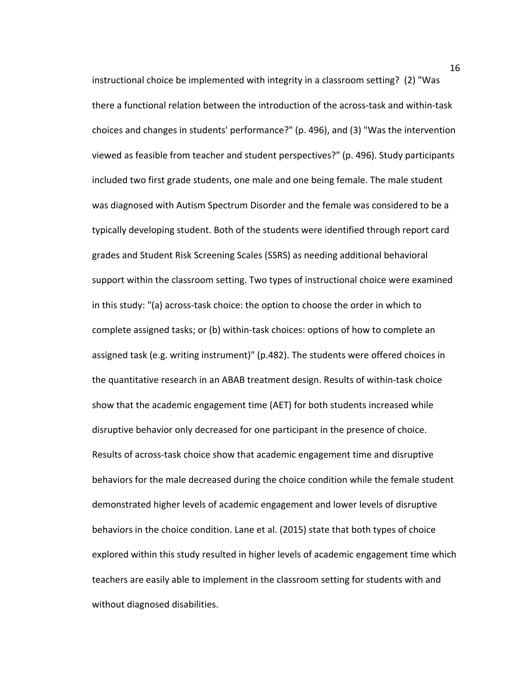instructional choice be implemented with integrity in a classroom setting? (2) "Was there a functional relation between the introduction of the across-task and within-task choices and changes in students' performance?" (p. 496), and (3) "Was the intervention viewed as feasible from teacher and student perspectives?" (p. 496). Study participants included two first grade students, one male and one being female. The male student was diagnosed with Autism Spectrum Disorder and the female was considered to be a typically developing student. Both of the students were identified through report card grades and Student Risk Screening Scales (SSRS) as needing additional behavioral support within the classroom setting. Two types of instructional choice were examined in this study: "(a) across-task choice: the option to choose the order in which to complete assigned tasks; or (b) within-task choices: options of how to complete an assigned task (e.g. writing instrument)" (p.482). The students were offered choices in the quantitative research in an ABAB treatment design. Results of within-task choice show that the academic engagement time (AET) for both students increased while disruptive behavior only decreased for one participant in the presence of choice. Results of across-task choice show that academic engagement time and disruptive behaviors for the male decreased during the choice condition while the female student demonstrated higher levels of academic engagement and lower levels of disruptive behaviors in the choice condition. Lane et al. (2015) state that both types of choice explored within this study resulted in higher levels of academic engagement time which teachers are easily able to implement in the classroom setting for students with and without diagnosed disabilities.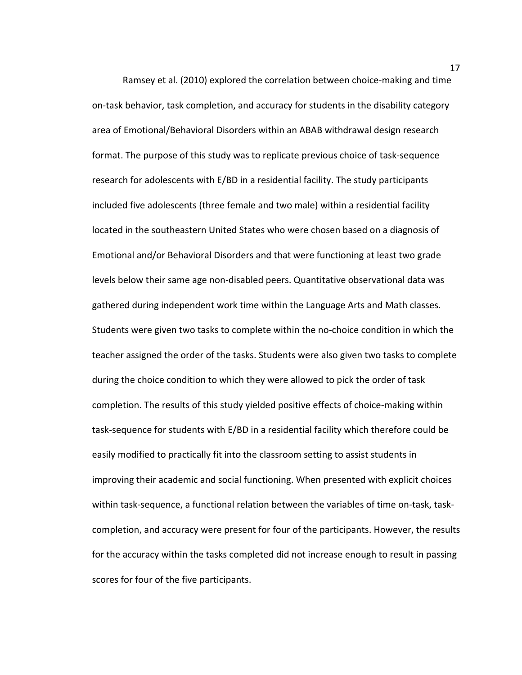Ramsey et al. (2010) explored the correlation between choice-making and time on-task behavior, task completion, and accuracy for students in the disability category area of Emotional/Behavioral Disorders within an ABAB withdrawal design research format. The purpose of this study was to replicate previous choice of task-sequence research for adolescents with E/BD in a residential facility. The study participants included five adolescents (three female and two male) within a residential facility located in the southeastern United States who were chosen based on a diagnosis of Emotional and/or Behavioral Disorders and that were functioning at least two grade levels below their same age non-disabled peers. Quantitative observational data was gathered during independent work time within the Language Arts and Math classes. Students were given two tasks to complete within the no-choice condition in which the teacher assigned the order of the tasks. Students were also given two tasks to complete during the choice condition to which they were allowed to pick the order of task completion. The results of this study yielded positive effects of choice-making within task-sequence for students with E/BD in a residential facility which therefore could be easily modified to practically fit into the classroom setting to assist students in improving their academic and social functioning. When presented with explicit choices within task-sequence, a functional relation between the variables of time on-task, taskcompletion, and accuracy were present for four of the participants. However, the results for the accuracy within the tasks completed did not increase enough to result in passing scores for four of the five participants.

17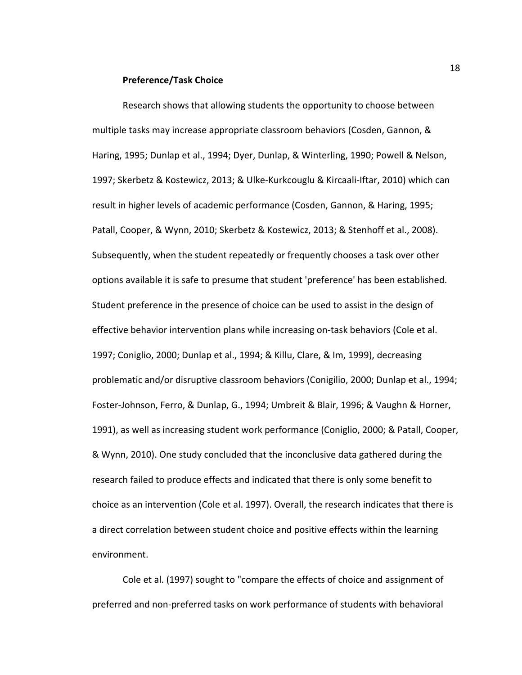#### **Preference/Task Choice**

Research shows that allowing students the opportunity to choose between multiple tasks may increase appropriate classroom behaviors (Cosden, Gannon, & Haring, 1995; Dunlap et al., 1994; Dyer, Dunlap, & Winterling, 1990; Powell & Nelson, 1997; Skerbetz & Kostewicz, 2013; & Ulke-Kurkcouglu & Kircaali-Iftar, 2010) which can result in higher levels of academic performance (Cosden, Gannon, & Haring, 1995; Patall, Cooper, & Wynn, 2010; Skerbetz & Kostewicz, 2013; & Stenhoff et al., 2008). Subsequently, when the student repeatedly or frequently chooses a task over other options available it is safe to presume that student 'preference' has been established. Student preference in the presence of choice can be used to assist in the design of effective behavior intervention plans while increasing on-task behaviors (Cole et al. 1997; Coniglio, 2000; Dunlap et al., 1994; & Killu, Clare, & Im, 1999), decreasing problematic and/or disruptive classroom behaviors (Conigilio, 2000; Dunlap et al., 1994; Foster-Johnson, Ferro, & Dunlap, G., 1994; Umbreit & Blair, 1996; & Vaughn & Horner, 1991), as well as increasing student work performance (Coniglio, 2000; & Patall, Cooper, & Wynn, 2010). One study concluded that the inconclusive data gathered during the research failed to produce effects and indicated that there is only some benefit to choice as an intervention (Cole et al. 1997). Overall, the research indicates that there is a direct correlation between student choice and positive effects within the learning environment.

Cole et al. (1997) sought to "compare the effects of choice and assignment of preferred and non-preferred tasks on work performance of students with behavioral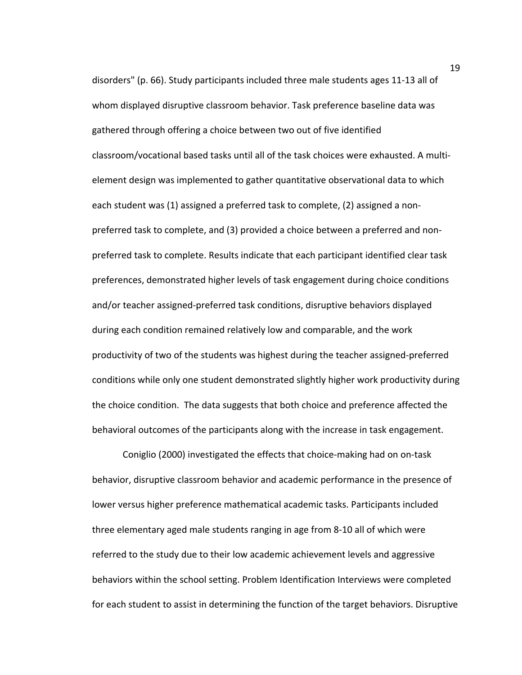disorders" (p. 66). Study participants included three male students ages 11-13 all of whom displayed disruptive classroom behavior. Task preference baseline data was gathered through offering a choice between two out of five identified classroom/vocational based tasks until all of the task choices were exhausted. A multielement design was implemented to gather quantitative observational data to which each student was (1) assigned a preferred task to complete, (2) assigned a nonpreferred task to complete, and (3) provided a choice between a preferred and nonpreferred task to complete. Results indicate that each participant identified clear task preferences, demonstrated higher levels of task engagement during choice conditions and/or teacher assigned-preferred task conditions, disruptive behaviors displayed during each condition remained relatively low and comparable, and the work productivity of two of the students was highest during the teacher assigned-preferred conditions while only one student demonstrated slightly higher work productivity during the choice condition. The data suggests that both choice and preference affected the behavioral outcomes of the participants along with the increase in task engagement.

Coniglio (2000) investigated the effects that choice-making had on on-task behavior, disruptive classroom behavior and academic performance in the presence of lower versus higher preference mathematical academic tasks. Participants included three elementary aged male students ranging in age from 8-10 all of which were referred to the study due to their low academic achievement levels and aggressive behaviors within the school setting. Problem Identification Interviews were completed for each student to assist in determining the function of the target behaviors. Disruptive

19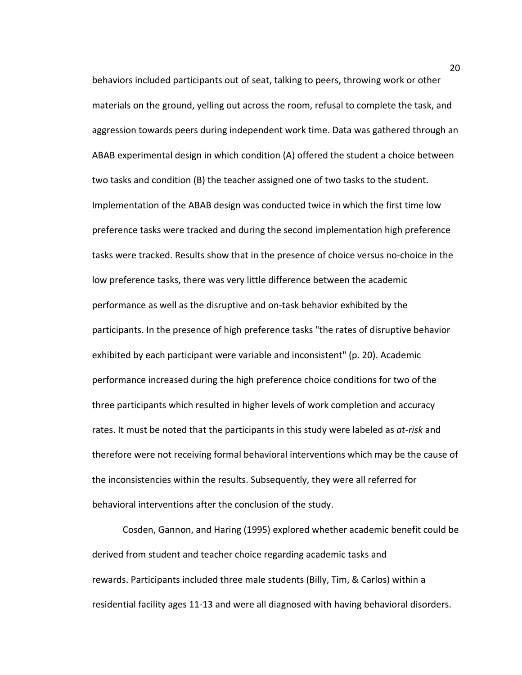behaviors included participants out of seat, talking to peers, throwing work or other materials on the ground, yelling out across the room, refusal to complete the task, and aggression towards peers during independent work time. Data was gathered through an ABAB experimental design in which condition (A) offered the student a choice between two tasks and condition (B) the teacher assigned one of two tasks to the student. Implementation of the ABAB design was conducted twice in which the first time low preference tasks were tracked and during the second implementation high preference tasks were tracked. Results show that in the presence of choice versus no-choice in the low preference tasks, there was very little difference between the academic performance as well as the disruptive and on-task behavior exhibited by the participants. In the presence of high preference tasks "the rates of disruptive behavior exhibited by each participant were variable and inconsistent" (p. 20). Academic performance increased during the high preference choice conditions for two of the three participants which resulted in higher levels of work completion and accuracy rates. It must be noted that the participants in this study were labeled as *at-risk* and therefore were not receiving formal behavioral interventions which may be the cause of the inconsistencies within the results. Subsequently, they were all referred for behavioral interventions after the conclusion of the study.

Cosden, Gannon, and Haring (1995) explored whether academic benefit could be derived from student and teacher choice regarding academic tasks and rewards. Participants included three male students (Billy, Tim, & Carlos) within a residential facility ages 11-13 and were all diagnosed with having behavioral disorders.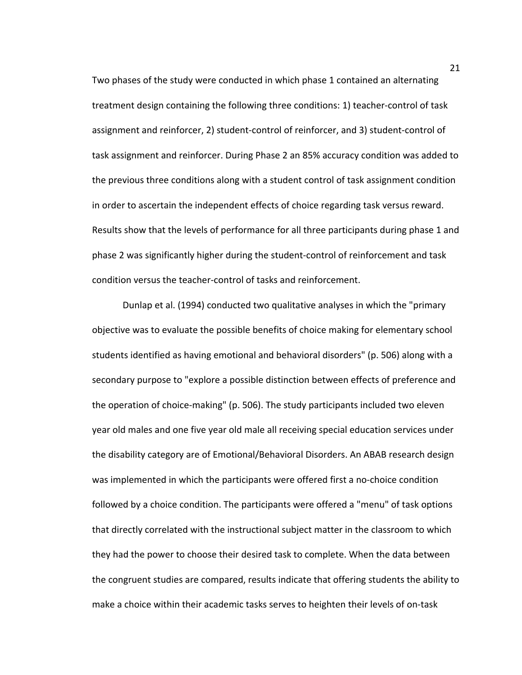Two phases of the study were conducted in which phase 1 contained an alternating treatment design containing the following three conditions: 1) teacher-control of task assignment and reinforcer, 2) student-control of reinforcer, and 3) student-control of task assignment and reinforcer. During Phase 2 an 85% accuracy condition was added to the previous three conditions along with a student control of task assignment condition in order to ascertain the independent effects of choice regarding task versus reward. Results show that the levels of performance for all three participants during phase 1 and phase 2 was significantly higher during the student-control of reinforcement and task condition versus the teacher-control of tasks and reinforcement.

Dunlap et al. (1994) conducted two qualitative analyses in which the "primary objective was to evaluate the possible benefits of choice making for elementary school students identified as having emotional and behavioral disorders" (p. 506) along with a secondary purpose to "explore a possible distinction between effects of preference and the operation of choice-making" (p. 506). The study participants included two eleven year old males and one five year old male all receiving special education services under the disability category are of Emotional/Behavioral Disorders. An ABAB research design was implemented in which the participants were offered first a no-choice condition followed by a choice condition. The participants were offered a "menu" of task options that directly correlated with the instructional subject matter in the classroom to which they had the power to choose their desired task to complete. When the data between the congruent studies are compared, results indicate that offering students the ability to make a choice within their academic tasks serves to heighten their levels of on-task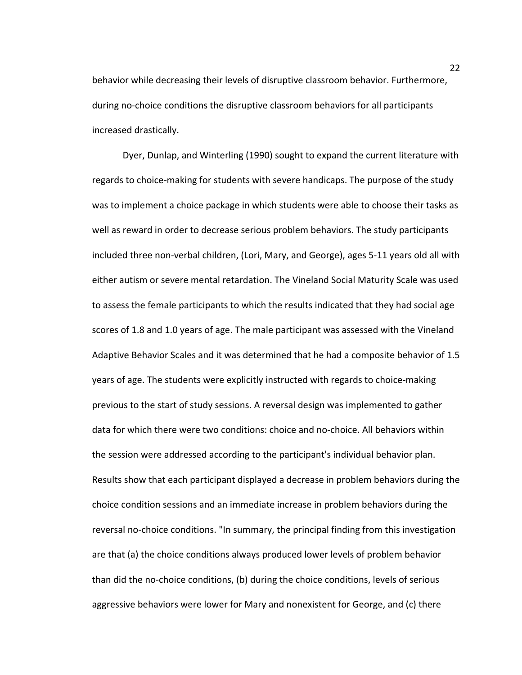behavior while decreasing their levels of disruptive classroom behavior. Furthermore, during no-choice conditions the disruptive classroom behaviors for all participants increased drastically.

Dyer, Dunlap, and Winterling (1990) sought to expand the current literature with regards to choice-making for students with severe handicaps. The purpose of the study was to implement a choice package in which students were able to choose their tasks as well as reward in order to decrease serious problem behaviors. The study participants included three non-verbal children, (Lori, Mary, and George), ages 5-11 years old all with either autism or severe mental retardation. The Vineland Social Maturity Scale was used to assess the female participants to which the results indicated that they had social age scores of 1.8 and 1.0 years of age. The male participant was assessed with the Vineland Adaptive Behavior Scales and it was determined that he had a composite behavior of 1.5 years of age. The students were explicitly instructed with regards to choice-making previous to the start of study sessions. A reversal design was implemented to gather data for which there were two conditions: choice and no-choice. All behaviors within the session were addressed according to the participant's individual behavior plan. Results show that each participant displayed a decrease in problem behaviors during the choice condition sessions and an immediate increase in problem behaviors during the reversal no-choice conditions. "In summary, the principal finding from this investigation are that (a) the choice conditions always produced lower levels of problem behavior than did the no-choice conditions, (b) during the choice conditions, levels of serious aggressive behaviors were lower for Mary and nonexistent for George, and (c) there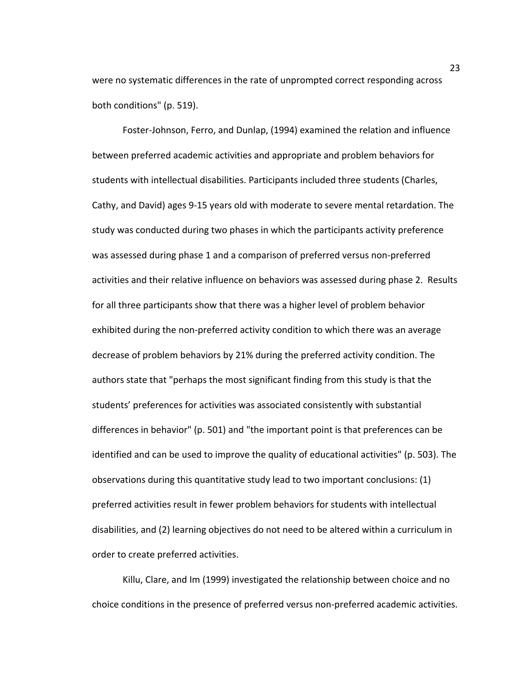were no systematic differences in the rate of unprompted correct responding across both conditions" (p. 519).

Foster-Johnson, Ferro, and Dunlap, (1994) examined the relation and influence between preferred academic activities and appropriate and problem behaviors for students with intellectual disabilities. Participants included three students (Charles, Cathy, and David) ages 9-15 years old with moderate to severe mental retardation. The study was conducted during two phases in which the participants activity preference was assessed during phase 1 and a comparison of preferred versus non-preferred activities and their relative influence on behaviors was assessed during phase 2. Results for all three participants show that there was a higher level of problem behavior exhibited during the non-preferred activity condition to which there was an average decrease of problem behaviors by 21% during the preferred activity condition. The authors state that "perhaps the most significant finding from this study is that the students' preferences for activities was associated consistently with substantial differences in behavior" (p. 501) and "the important point is that preferences can be identified and can be used to improve the quality of educational activities" (p. 503). The observations during this quantitative study lead to two important conclusions: (1) preferred activities result in fewer problem behaviors for students with intellectual disabilities, and (2) learning objectives do not need to be altered within a curriculum in order to create preferred activities.

Killu, Clare, and Im (1999) investigated the relationship between choice and no choice conditions in the presence of preferred versus non-preferred academic activities.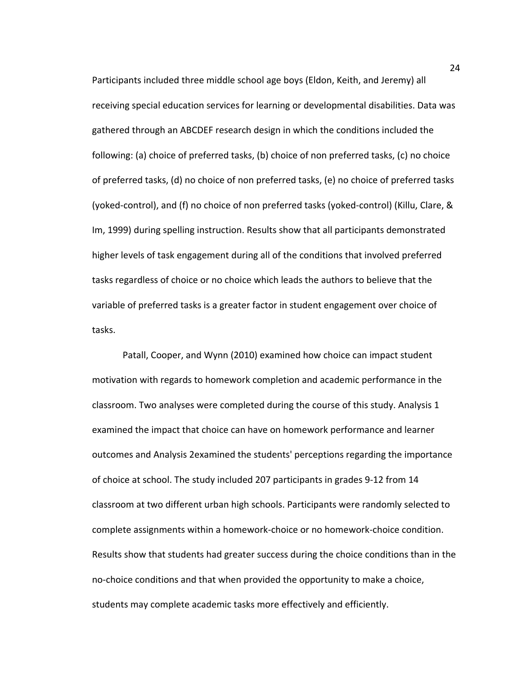Participants included three middle school age boys (Eldon, Keith, and Jeremy) all receiving special education services for learning or developmental disabilities. Data was gathered through an ABCDEF research design in which the conditions included the following: (a) choice of preferred tasks, (b) choice of non preferred tasks, (c) no choice of preferred tasks, (d) no choice of non preferred tasks, (e) no choice of preferred tasks (yoked-control), and (f) no choice of non preferred tasks (yoked-control) (Killu, Clare, & Im, 1999) during spelling instruction. Results show that all participants demonstrated higher levels of task engagement during all of the conditions that involved preferred tasks regardless of choice or no choice which leads the authors to believe that the variable of preferred tasks is a greater factor in student engagement over choice of tasks.

Patall, Cooper, and Wynn (2010) examined how choice can impact student motivation with regards to homework completion and academic performance in the classroom. Two analyses were completed during the course of this study. Analysis 1 examined the impact that choice can have on homework performance and learner outcomes and Analysis 2examined the students' perceptions regarding the importance of choice at school. The study included 207 participants in grades 9-12 from 14 classroom at two different urban high schools. Participants were randomly selected to complete assignments within a homework-choice or no homework-choice condition. Results show that students had greater success during the choice conditions than in the no-choice conditions and that when provided the opportunity to make a choice, students may complete academic tasks more effectively and efficiently.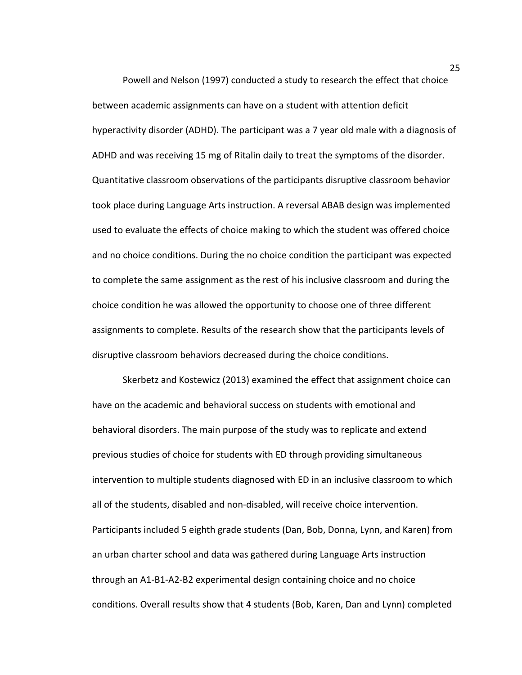Powell and Nelson (1997) conducted a study to research the effect that choice between academic assignments can have on a student with attention deficit hyperactivity disorder (ADHD). The participant was a 7 year old male with a diagnosis of ADHD and was receiving 15 mg of Ritalin daily to treat the symptoms of the disorder. Quantitative classroom observations of the participants disruptive classroom behavior took place during Language Arts instruction. A reversal ABAB design was implemented used to evaluate the effects of choice making to which the student was offered choice and no choice conditions. During the no choice condition the participant was expected to complete the same assignment as the rest of his inclusive classroom and during the choice condition he was allowed the opportunity to choose one of three different assignments to complete. Results of the research show that the participants levels of disruptive classroom behaviors decreased during the choice conditions.

Skerbetz and Kostewicz (2013) examined the effect that assignment choice can have on the academic and behavioral success on students with emotional and behavioral disorders. The main purpose of the study was to replicate and extend previous studies of choice for students with ED through providing simultaneous intervention to multiple students diagnosed with ED in an inclusive classroom to which all of the students, disabled and non-disabled, will receive choice intervention. Participants included 5 eighth grade students (Dan, Bob, Donna, Lynn, and Karen) from an urban charter school and data was gathered during Language Arts instruction through an A1-B1-A2-B2 experimental design containing choice and no choice conditions. Overall results show that 4 students (Bob, Karen, Dan and Lynn) completed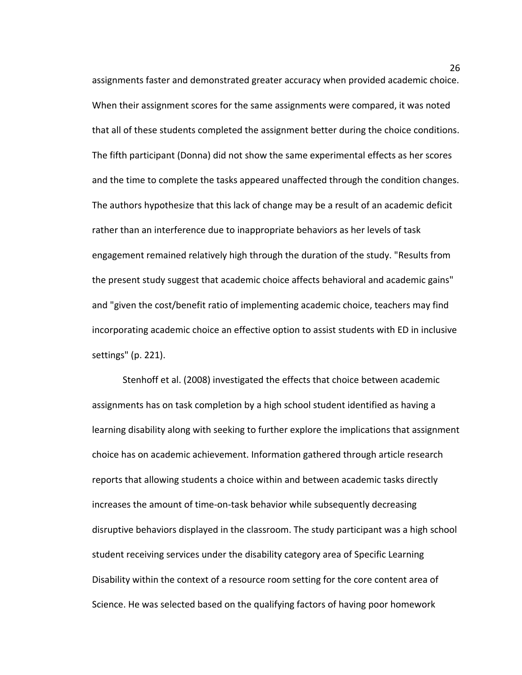assignments faster and demonstrated greater accuracy when provided academic choice. When their assignment scores for the same assignments were compared, it was noted that all of these students completed the assignment better during the choice conditions. The fifth participant (Donna) did not show the same experimental effects as her scores and the time to complete the tasks appeared unaffected through the condition changes. The authors hypothesize that this lack of change may be a result of an academic deficit rather than an interference due to inappropriate behaviors as her levels of task engagement remained relatively high through the duration of the study. "Results from the present study suggest that academic choice affects behavioral and academic gains" and "given the cost/benefit ratio of implementing academic choice, teachers may find incorporating academic choice an effective option to assist students with ED in inclusive settings" (p. 221).

Stenhoff et al. (2008) investigated the effects that choice between academic assignments has on task completion by a high school student identified as having a learning disability along with seeking to further explore the implications that assignment choice has on academic achievement. Information gathered through article research reports that allowing students a choice within and between academic tasks directly increases the amount of time-on-task behavior while subsequently decreasing disruptive behaviors displayed in the classroom. The study participant was a high school student receiving services under the disability category area of Specific Learning Disability within the context of a resource room setting for the core content area of Science. He was selected based on the qualifying factors of having poor homework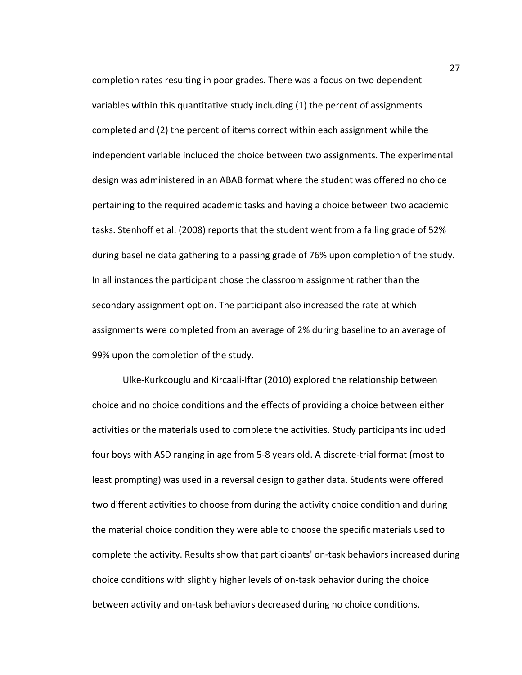completion rates resulting in poor grades. There was a focus on two dependent variables within this quantitative study including (1) the percent of assignments completed and (2) the percent of items correct within each assignment while the independent variable included the choice between two assignments. The experimental design was administered in an ABAB format where the student was offered no choice pertaining to the required academic tasks and having a choice between two academic tasks. Stenhoff et al. (2008) reports that the student went from a failing grade of 52% during baseline data gathering to a passing grade of 76% upon completion of the study. In all instances the participant chose the classroom assignment rather than the secondary assignment option. The participant also increased the rate at which assignments were completed from an average of 2% during baseline to an average of 99% upon the completion of the study.

Ulke-Kurkcouglu and Kircaali-Iftar (2010) explored the relationship between choice and no choice conditions and the effects of providing a choice between either activities or the materials used to complete the activities. Study participants included four boys with ASD ranging in age from 5-8 years old. A discrete-trial format (most to least prompting) was used in a reversal design to gather data. Students were offered two different activities to choose from during the activity choice condition and during the material choice condition they were able to choose the specific materials used to complete the activity. Results show that participants' on-task behaviors increased during choice conditions with slightly higher levels of on-task behavior during the choice between activity and on-task behaviors decreased during no choice conditions.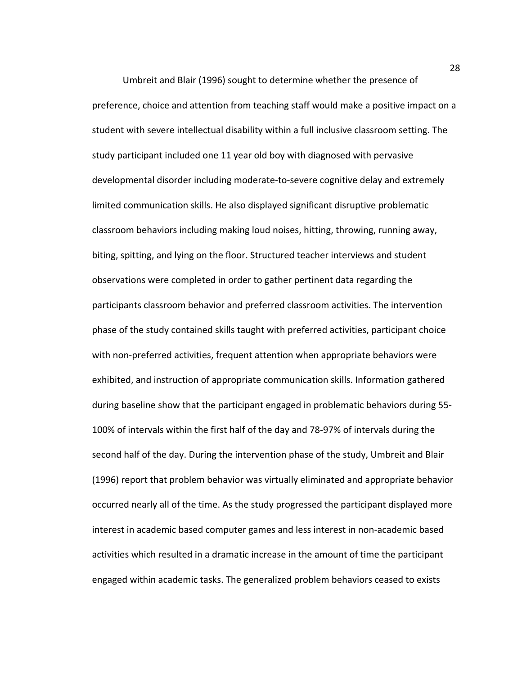Umbreit and Blair (1996) sought to determine whether the presence of preference, choice and attention from teaching staff would make a positive impact on a student with severe intellectual disability within a full inclusive classroom setting. The study participant included one 11 year old boy with diagnosed with pervasive developmental disorder including moderate-to-severe cognitive delay and extremely limited communication skills. He also displayed significant disruptive problematic classroom behaviors including making loud noises, hitting, throwing, running away, biting, spitting, and lying on the floor. Structured teacher interviews and student observations were completed in order to gather pertinent data regarding the participants classroom behavior and preferred classroom activities. The intervention phase of the study contained skills taught with preferred activities, participant choice with non-preferred activities, frequent attention when appropriate behaviors were exhibited, and instruction of appropriate communication skills. Information gathered during baseline show that the participant engaged in problematic behaviors during 55- 100% of intervals within the first half of the day and 78-97% of intervals during the second half of the day. During the intervention phase of the study, Umbreit and Blair (1996) report that problem behavior was virtually eliminated and appropriate behavior occurred nearly all of the time. As the study progressed the participant displayed more interest in academic based computer games and less interest in non-academic based activities which resulted in a dramatic increase in the amount of time the participant engaged within academic tasks. The generalized problem behaviors ceased to exists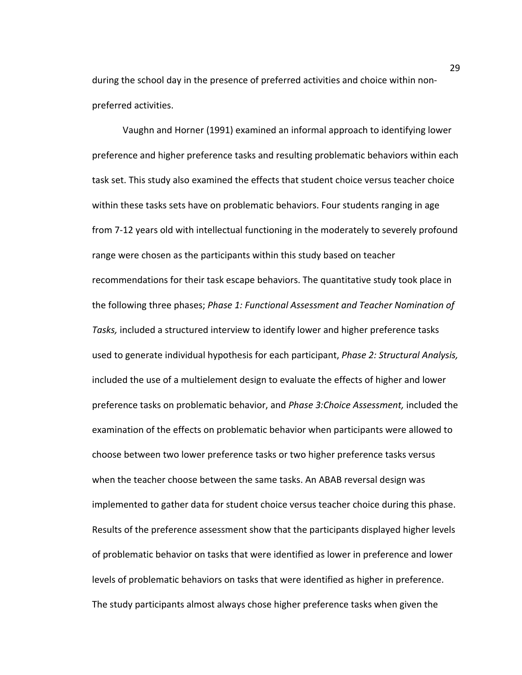during the school day in the presence of preferred activities and choice within nonpreferred activities.

Vaughn and Horner (1991) examined an informal approach to identifying lower preference and higher preference tasks and resulting problematic behaviors within each task set. This study also examined the effects that student choice versus teacher choice within these tasks sets have on problematic behaviors. Four students ranging in age from 7-12 years old with intellectual functioning in the moderately to severely profound range were chosen as the participants within this study based on teacher recommendations for their task escape behaviors. The quantitative study took place in the following three phases; *Phase 1: Functional Assessment and Teacher Nomination of Tasks,* included a structured interview to identify lower and higher preference tasks used to generate individual hypothesis for each participant, *Phase 2: Structural Analysis,*  included the use of a multielement design to evaluate the effects of higher and lower preference tasks on problematic behavior, and *Phase 3:Choice Assessment,* included the examination of the effects on problematic behavior when participants were allowed to choose between two lower preference tasks or two higher preference tasks versus when the teacher choose between the same tasks. An ABAB reversal design was implemented to gather data for student choice versus teacher choice during this phase. Results of the preference assessment show that the participants displayed higher levels of problematic behavior on tasks that were identified as lower in preference and lower levels of problematic behaviors on tasks that were identified as higher in preference. The study participants almost always chose higher preference tasks when given the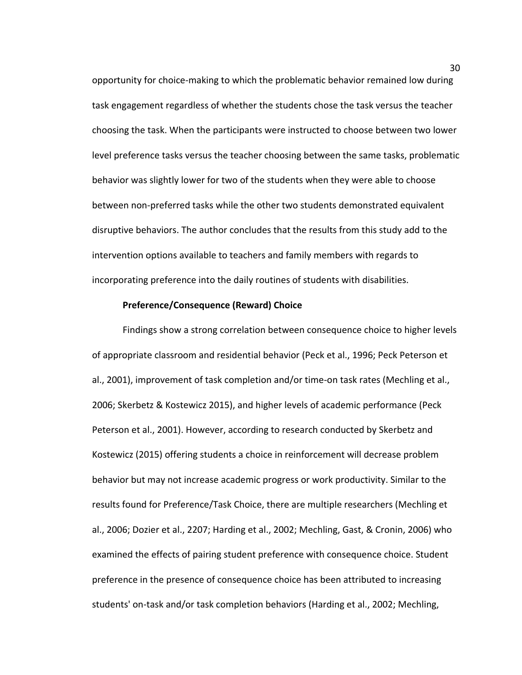opportunity for choice-making to which the problematic behavior remained low during task engagement regardless of whether the students chose the task versus the teacher choosing the task. When the participants were instructed to choose between two lower level preference tasks versus the teacher choosing between the same tasks, problematic behavior was slightly lower for two of the students when they were able to choose between non-preferred tasks while the other two students demonstrated equivalent disruptive behaviors. The author concludes that the results from this study add to the intervention options available to teachers and family members with regards to incorporating preference into the daily routines of students with disabilities.

## **Preference/Consequence (Reward) Choice**

Findings show a strong correlation between consequence choice to higher levels of appropriate classroom and residential behavior (Peck et al., 1996; Peck Peterson et al., 2001), improvement of task completion and/or time-on task rates (Mechling et al., 2006; Skerbetz & Kostewicz 2015), and higher levels of academic performance (Peck Peterson et al., 2001). However, according to research conducted by Skerbetz and Kostewicz (2015) offering students a choice in reinforcement will decrease problem behavior but may not increase academic progress or work productivity. Similar to the results found for Preference/Task Choice, there are multiple researchers (Mechling et al., 2006; Dozier et al., 2207; Harding et al., 2002; Mechling, Gast, & Cronin, 2006) who examined the effects of pairing student preference with consequence choice. Student preference in the presence of consequence choice has been attributed to increasing students' on-task and/or task completion behaviors (Harding et al., 2002; Mechling,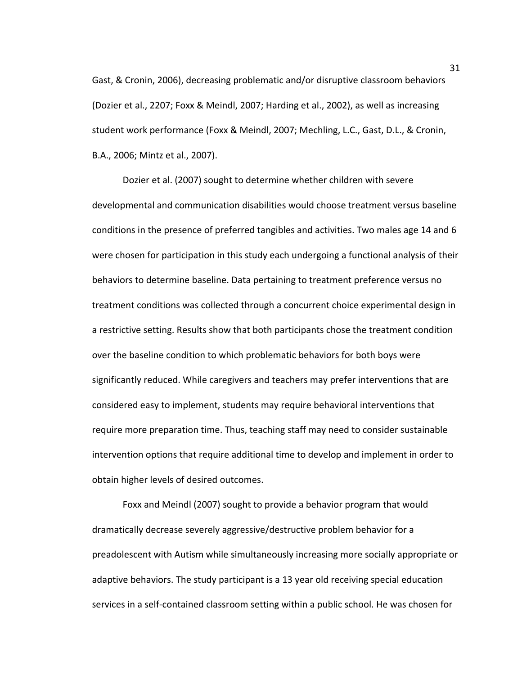Gast, & Cronin, 2006), decreasing problematic and/or disruptive classroom behaviors (Dozier et al., 2207; Foxx & Meindl, 2007; Harding et al., 2002), as well as increasing student work performance (Foxx & Meindl, 2007; Mechling, L.C., Gast, D.L., & Cronin, B.A., 2006; Mintz et al., 2007).

Dozier et al. (2007) sought to determine whether children with severe developmental and communication disabilities would choose treatment versus baseline conditions in the presence of preferred tangibles and activities. Two males age 14 and 6 were chosen for participation in this study each undergoing a functional analysis of their behaviors to determine baseline. Data pertaining to treatment preference versus no treatment conditions was collected through a concurrent choice experimental design in a restrictive setting. Results show that both participants chose the treatment condition over the baseline condition to which problematic behaviors for both boys were significantly reduced. While caregivers and teachers may prefer interventions that are considered easy to implement, students may require behavioral interventions that require more preparation time. Thus, teaching staff may need to consider sustainable intervention options that require additional time to develop and implement in order to obtain higher levels of desired outcomes.

Foxx and Meindl (2007) sought to provide a behavior program that would dramatically decrease severely aggressive/destructive problem behavior for a preadolescent with Autism while simultaneously increasing more socially appropriate or adaptive behaviors. The study participant is a 13 year old receiving special education services in a self-contained classroom setting within a public school. He was chosen for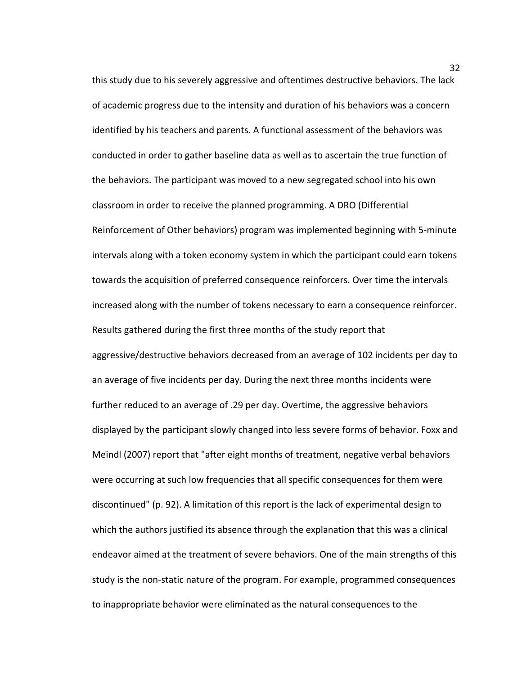this study due to his severely aggressive and oftentimes destructive behaviors. The lack of academic progress due to the intensity and duration of his behaviors was a concern identified by his teachers and parents. A functional assessment of the behaviors was conducted in order to gather baseline data as well as to ascertain the true function of the behaviors. The participant was moved to a new segregated school into his own classroom in order to receive the planned programming. A DRO (Differential Reinforcement of Other behaviors) program was implemented beginning with 5-minute intervals along with a token economy system in which the participant could earn tokens towards the acquisition of preferred consequence reinforcers. Over time the intervals increased along with the number of tokens necessary to earn a consequence reinforcer. Results gathered during the first three months of the study report that aggressive/destructive behaviors decreased from an average of 102 incidents per day to an average of five incidents per day. During the next three months incidents were further reduced to an average of .29 per day. Overtime, the aggressive behaviors displayed by the participant slowly changed into less severe forms of behavior. Foxx and Meindl (2007) report that "after eight months of treatment, negative verbal behaviors were occurring at such low frequencies that all specific consequences for them were discontinued" (p. 92). A limitation of this report is the lack of experimental design to which the authors justified its absence through the explanation that this was a clinical endeavor aimed at the treatment of severe behaviors. One of the main strengths of this study is the non-static nature of the program. For example, programmed consequences to inappropriate behavior were eliminated as the natural consequences to the

32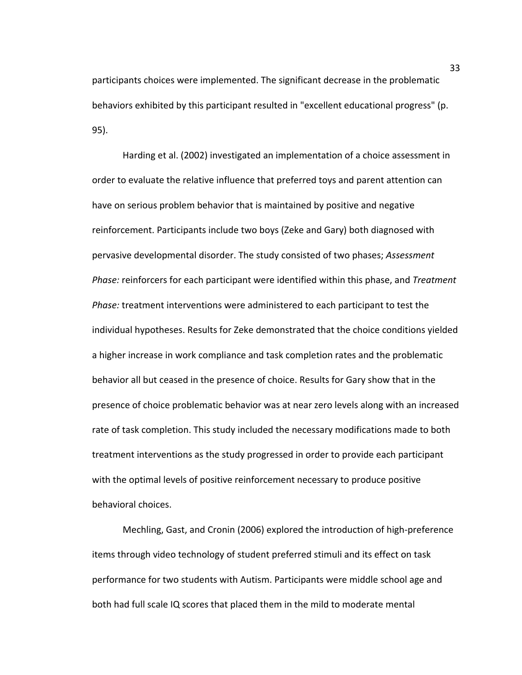participants choices were implemented. The significant decrease in the problematic behaviors exhibited by this participant resulted in "excellent educational progress" (p. 95).

Harding et al. (2002) investigated an implementation of a choice assessment in order to evaluate the relative influence that preferred toys and parent attention can have on serious problem behavior that is maintained by positive and negative reinforcement. Participants include two boys (Zeke and Gary) both diagnosed with pervasive developmental disorder. The study consisted of two phases; *Assessment Phase:* reinforcers for each participant were identified within this phase, and *Treatment Phase:* treatment interventions were administered to each participant to test the individual hypotheses. Results for Zeke demonstrated that the choice conditions yielded a higher increase in work compliance and task completion rates and the problematic behavior all but ceased in the presence of choice. Results for Gary show that in the presence of choice problematic behavior was at near zero levels along with an increased rate of task completion. This study included the necessary modifications made to both treatment interventions as the study progressed in order to provide each participant with the optimal levels of positive reinforcement necessary to produce positive behavioral choices.

 Mechling, Gast, and Cronin (2006) explored the introduction of high-preference items through video technology of student preferred stimuli and its effect on task performance for two students with Autism. Participants were middle school age and both had full scale IQ scores that placed them in the mild to moderate mental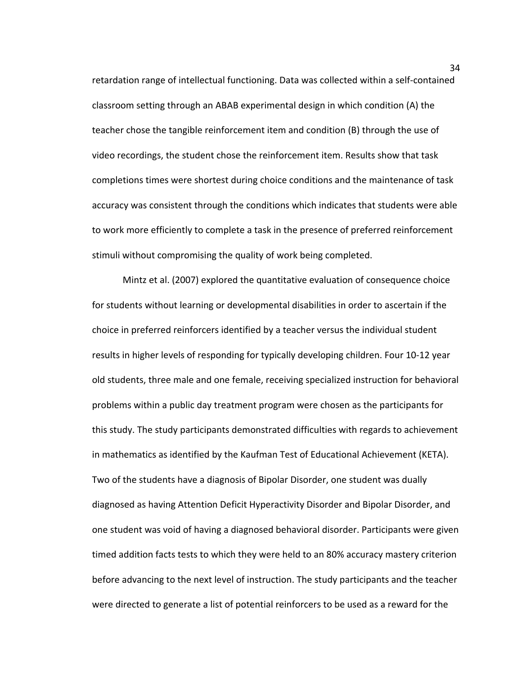retardation range of intellectual functioning. Data was collected within a self-contained classroom setting through an ABAB experimental design in which condition (A) the teacher chose the tangible reinforcement item and condition (B) through the use of video recordings, the student chose the reinforcement item. Results show that task completions times were shortest during choice conditions and the maintenance of task accuracy was consistent through the conditions which indicates that students were able to work more efficiently to complete a task in the presence of preferred reinforcement stimuli without compromising the quality of work being completed.

Mintz et al. (2007) explored the quantitative evaluation of consequence choice for students without learning or developmental disabilities in order to ascertain if the choice in preferred reinforcers identified by a teacher versus the individual student results in higher levels of responding for typically developing children. Four 10-12 year old students, three male and one female, receiving specialized instruction for behavioral problems within a public day treatment program were chosen as the participants for this study. The study participants demonstrated difficulties with regards to achievement in mathematics as identified by the Kaufman Test of Educational Achievement (KETA). Two of the students have a diagnosis of Bipolar Disorder, one student was dually diagnosed as having Attention Deficit Hyperactivity Disorder and Bipolar Disorder, and one student was void of having a diagnosed behavioral disorder. Participants were given timed addition facts tests to which they were held to an 80% accuracy mastery criterion before advancing to the next level of instruction. The study participants and the teacher were directed to generate a list of potential reinforcers to be used as a reward for the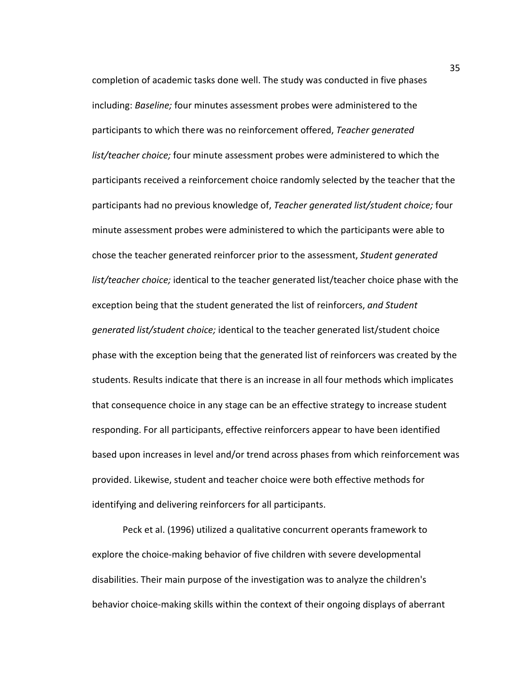completion of academic tasks done well. The study was conducted in five phases including: *Baseline;* four minutes assessment probes were administered to the participants to which there was no reinforcement offered, *Teacher generated list/teacher choice;* four minute assessment probes were administered to which the participants received a reinforcement choice randomly selected by the teacher that the participants had no previous knowledge of, *Teacher generated list/student choice;* four minute assessment probes were administered to which the participants were able to chose the teacher generated reinforcer prior to the assessment, *Student generated list/teacher choice;* identical to the teacher generated list/teacher choice phase with the exception being that the student generated the list of reinforcers, *and Student generated list/student choice;* identical to the teacher generated list/student choice phase with the exception being that the generated list of reinforcers was created by the students. Results indicate that there is an increase in all four methods which implicates that consequence choice in any stage can be an effective strategy to increase student responding. For all participants, effective reinforcers appear to have been identified based upon increases in level and/or trend across phases from which reinforcement was provided. Likewise, student and teacher choice were both effective methods for identifying and delivering reinforcers for all participants.

Peck et al. (1996) utilized a qualitative concurrent operants framework to explore the choice-making behavior of five children with severe developmental disabilities. Their main purpose of the investigation was to analyze the children's behavior choice-making skills within the context of their ongoing displays of aberrant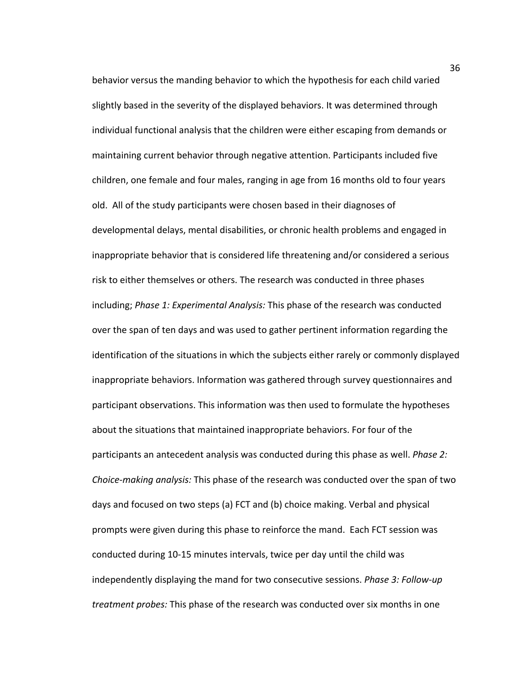behavior versus the manding behavior to which the hypothesis for each child varied slightly based in the severity of the displayed behaviors. It was determined through individual functional analysis that the children were either escaping from demands or maintaining current behavior through negative attention. Participants included five children, one female and four males, ranging in age from 16 months old to four years old. All of the study participants were chosen based in their diagnoses of developmental delays, mental disabilities, or chronic health problems and engaged in inappropriate behavior that is considered life threatening and/or considered a serious risk to either themselves or others. The research was conducted in three phases including; *Phase 1: Experimental Analysis:* This phase of the research was conducted over the span of ten days and was used to gather pertinent information regarding the identification of the situations in which the subjects either rarely or commonly displayed inappropriate behaviors. Information was gathered through survey questionnaires and participant observations. This information was then used to formulate the hypotheses about the situations that maintained inappropriate behaviors. For four of the participants an antecedent analysis was conducted during this phase as well. *Phase 2: Choice-making analysis:* This phase of the research was conducted over the span of two days and focused on two steps (a) FCT and (b) choice making. Verbal and physical prompts were given during this phase to reinforce the mand. Each FCT session was conducted during 10-15 minutes intervals, twice per day until the child was independently displaying the mand for two consecutive sessions. *Phase 3: Follow-up treatment probes:* This phase of the research was conducted over six months in one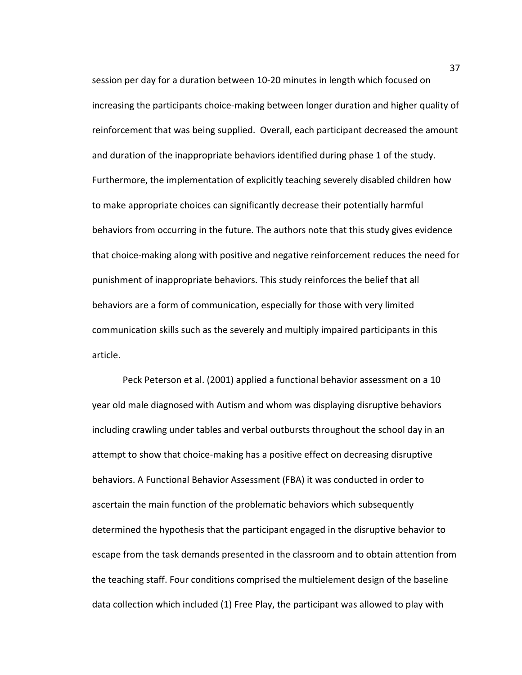session per day for a duration between 10-20 minutes in length which focused on increasing the participants choice-making between longer duration and higher quality of reinforcement that was being supplied. Overall, each participant decreased the amount and duration of the inappropriate behaviors identified during phase 1 of the study. Furthermore, the implementation of explicitly teaching severely disabled children how to make appropriate choices can significantly decrease their potentially harmful behaviors from occurring in the future. The authors note that this study gives evidence that choice-making along with positive and negative reinforcement reduces the need for punishment of inappropriate behaviors. This study reinforces the belief that all behaviors are a form of communication, especially for those with very limited communication skills such as the severely and multiply impaired participants in this article.

Peck Peterson et al. (2001) applied a functional behavior assessment on a 10 year old male diagnosed with Autism and whom was displaying disruptive behaviors including crawling under tables and verbal outbursts throughout the school day in an attempt to show that choice-making has a positive effect on decreasing disruptive behaviors. A Functional Behavior Assessment (FBA) it was conducted in order to ascertain the main function of the problematic behaviors which subsequently determined the hypothesis that the participant engaged in the disruptive behavior to escape from the task demands presented in the classroom and to obtain attention from the teaching staff. Four conditions comprised the multielement design of the baseline data collection which included (1) Free Play, the participant was allowed to play with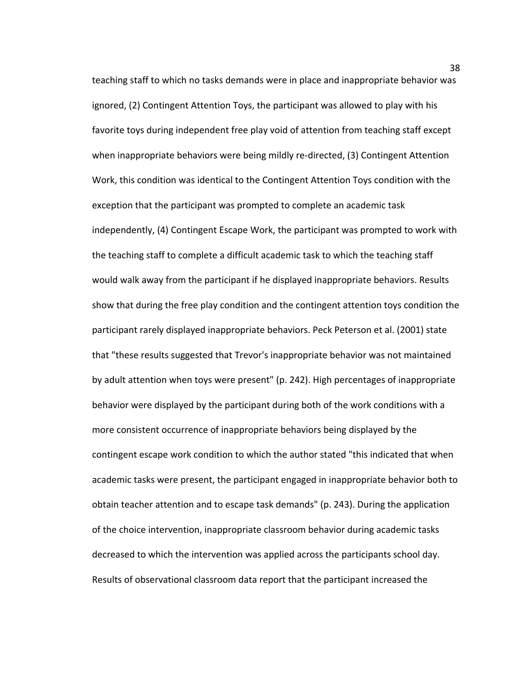teaching staff to which no tasks demands were in place and inappropriate behavior was ignored, (2) Contingent Attention Toys, the participant was allowed to play with his favorite toys during independent free play void of attention from teaching staff except when inappropriate behaviors were being mildly re-directed, (3) Contingent Attention Work, this condition was identical to the Contingent Attention Toys condition with the exception that the participant was prompted to complete an academic task independently, (4) Contingent Escape Work, the participant was prompted to work with the teaching staff to complete a difficult academic task to which the teaching staff would walk away from the participant if he displayed inappropriate behaviors. Results show that during the free play condition and the contingent attention toys condition the participant rarely displayed inappropriate behaviors. Peck Peterson et al. (2001) state that "these results suggested that Trevor's inappropriate behavior was not maintained by adult attention when toys were present" (p. 242). High percentages of inappropriate behavior were displayed by the participant during both of the work conditions with a more consistent occurrence of inappropriate behaviors being displayed by the contingent escape work condition to which the author stated "this indicated that when academic tasks were present, the participant engaged in inappropriate behavior both to obtain teacher attention and to escape task demands" (p. 243). During the application of the choice intervention, inappropriate classroom behavior during academic tasks decreased to which the intervention was applied across the participants school day. Results of observational classroom data report that the participant increased the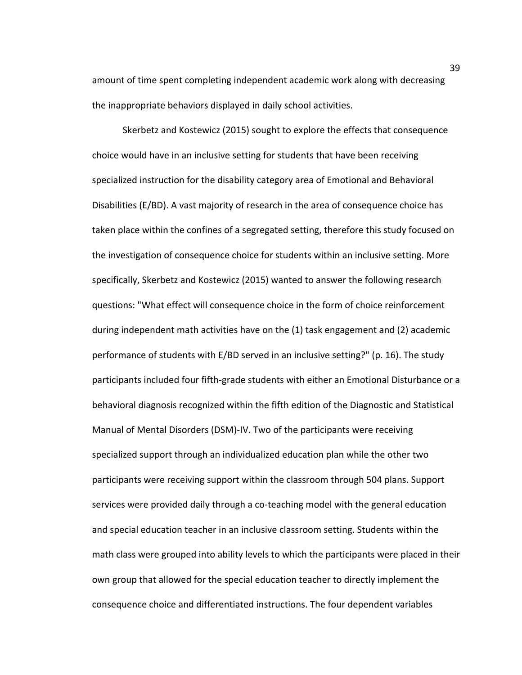amount of time spent completing independent academic work along with decreasing the inappropriate behaviors displayed in daily school activities.

Skerbetz and Kostewicz (2015) sought to explore the effects that consequence choice would have in an inclusive setting for students that have been receiving specialized instruction for the disability category area of Emotional and Behavioral Disabilities (E/BD). A vast majority of research in the area of consequence choice has taken place within the confines of a segregated setting, therefore this study focused on the investigation of consequence choice for students within an inclusive setting. More specifically, Skerbetz and Kostewicz (2015) wanted to answer the following research questions: "What effect will consequence choice in the form of choice reinforcement during independent math activities have on the (1) task engagement and (2) academic performance of students with E/BD served in an inclusive setting?" (p. 16). The study participants included four fifth-grade students with either an Emotional Disturbance or a behavioral diagnosis recognized within the fifth edition of the Diagnostic and Statistical Manual of Mental Disorders (DSM)-IV. Two of the participants were receiving specialized support through an individualized education plan while the other two participants were receiving support within the classroom through 504 plans. Support services were provided daily through a co-teaching model with the general education and special education teacher in an inclusive classroom setting. Students within the math class were grouped into ability levels to which the participants were placed in their own group that allowed for the special education teacher to directly implement the consequence choice and differentiated instructions. The four dependent variables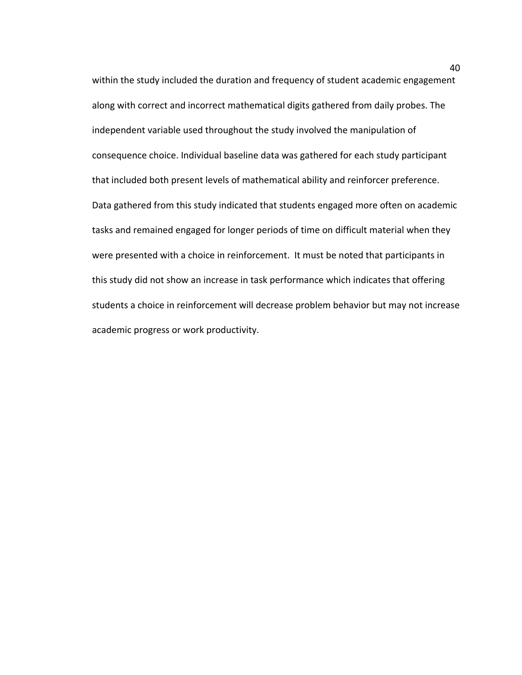within the study included the duration and frequency of student academic engagement along with correct and incorrect mathematical digits gathered from daily probes. The independent variable used throughout the study involved the manipulation of consequence choice. Individual baseline data was gathered for each study participant that included both present levels of mathematical ability and reinforcer preference. Data gathered from this study indicated that students engaged more often on academic tasks and remained engaged for longer periods of time on difficult material when they were presented with a choice in reinforcement. It must be noted that participants in this study did not show an increase in task performance which indicates that offering students a choice in reinforcement will decrease problem behavior but may not increase academic progress or work productivity.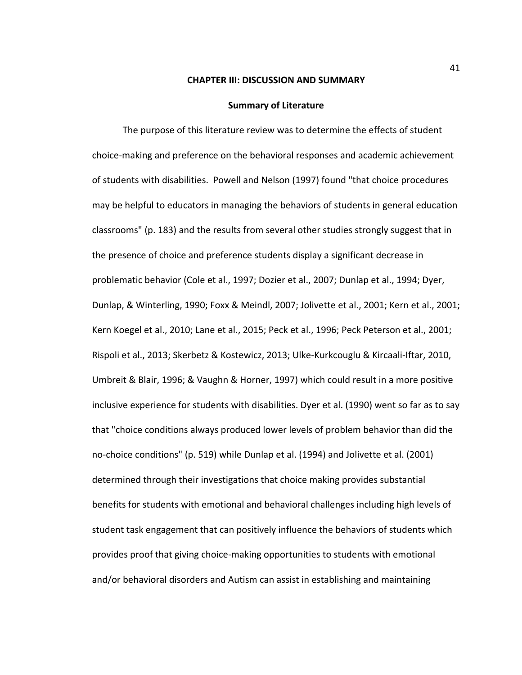#### **CHAPTER III: DISCUSSION AND SUMMARY**

#### **Summary of Literature**

The purpose of this literature review was to determine the effects of student choice-making and preference on the behavioral responses and academic achievement of students with disabilities. Powell and Nelson (1997) found "that choice procedures may be helpful to educators in managing the behaviors of students in general education classrooms" (p. 183) and the results from several other studies strongly suggest that in the presence of choice and preference students display a significant decrease in problematic behavior (Cole et al., 1997; Dozier et al., 2007; Dunlap et al., 1994; Dyer, Dunlap, & Winterling, 1990; Foxx & Meindl, 2007; Jolivette et al., 2001; Kern et al., 2001; Kern Koegel et al., 2010; Lane et al., 2015; Peck et al., 1996; Peck Peterson et al., 2001; Rispoli et al., 2013; Skerbetz & Kostewicz, 2013; Ulke-Kurkcouglu & Kircaali-Iftar, 2010, Umbreit & Blair, 1996; & Vaughn & Horner, 1997) which could result in a more positive inclusive experience for students with disabilities. Dyer et al. (1990) went so far as to say that "choice conditions always produced lower levels of problem behavior than did the no-choice conditions" (p. 519) while Dunlap et al. (1994) and Jolivette et al. (2001) determined through their investigations that choice making provides substantial benefits for students with emotional and behavioral challenges including high levels of student task engagement that can positively influence the behaviors of students which provides proof that giving choice-making opportunities to students with emotional and/or behavioral disorders and Autism can assist in establishing and maintaining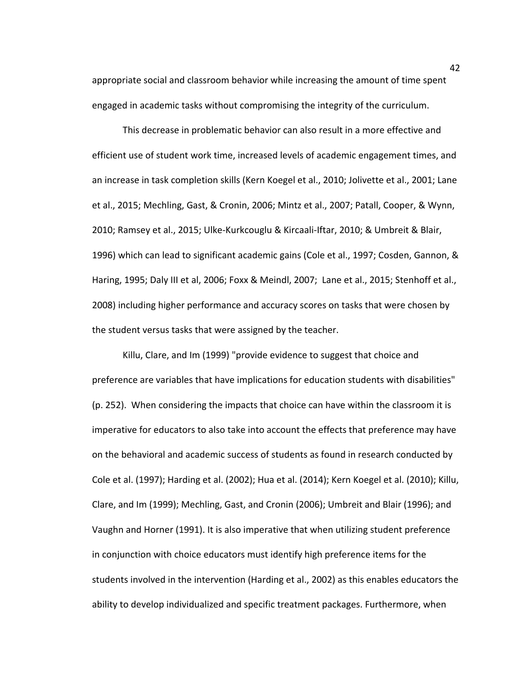appropriate social and classroom behavior while increasing the amount of time spent engaged in academic tasks without compromising the integrity of the curriculum.

This decrease in problematic behavior can also result in a more effective and efficient use of student work time, increased levels of academic engagement times, and an increase in task completion skills (Kern Koegel et al., 2010; Jolivette et al., 2001; Lane et al., 2015; Mechling, Gast, & Cronin, 2006; Mintz et al., 2007; Patall, Cooper, & Wynn, 2010; Ramsey et al., 2015; Ulke-Kurkcouglu & Kircaali-Iftar, 2010; & Umbreit & Blair, 1996) which can lead to significant academic gains (Cole et al., 1997; Cosden, Gannon, & Haring, 1995; Daly III et al, 2006; Foxx & Meindl, 2007; Lane et al., 2015; Stenhoff et al., 2008) including higher performance and accuracy scores on tasks that were chosen by the student versus tasks that were assigned by the teacher.

Killu, Clare, and Im (1999) "provide evidence to suggest that choice and preference are variables that have implications for education students with disabilities" (p. 252). When considering the impacts that choice can have within the classroom it is imperative for educators to also take into account the effects that preference may have on the behavioral and academic success of students as found in research conducted by Cole et al. (1997); Harding et al. (2002); Hua et al. (2014); Kern Koegel et al. (2010); Killu, Clare, and Im (1999); Mechling, Gast, and Cronin (2006); Umbreit and Blair (1996); and Vaughn and Horner (1991). It is also imperative that when utilizing student preference in conjunction with choice educators must identify high preference items for the students involved in the intervention (Harding et al., 2002) as this enables educators the ability to develop individualized and specific treatment packages. Furthermore, when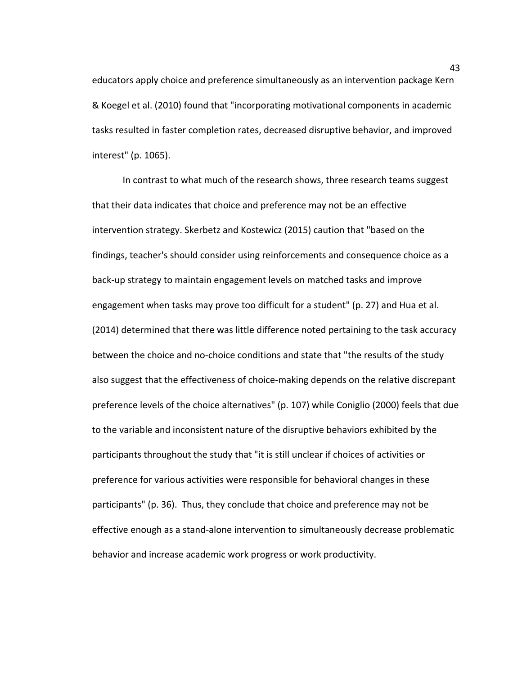educators apply choice and preference simultaneously as an intervention package Kern & Koegel et al. (2010) found that "incorporating motivational components in academic tasks resulted in faster completion rates, decreased disruptive behavior, and improved interest" (p. 1065).

In contrast to what much of the research shows, three research teams suggest that their data indicates that choice and preference may not be an effective intervention strategy. Skerbetz and Kostewicz (2015) caution that "based on the findings, teacher's should consider using reinforcements and consequence choice as a back-up strategy to maintain engagement levels on matched tasks and improve engagement when tasks may prove too difficult for a student" (p. 27) and Hua et al. (2014) determined that there was little difference noted pertaining to the task accuracy between the choice and no-choice conditions and state that "the results of the study also suggest that the effectiveness of choice-making depends on the relative discrepant preference levels of the choice alternatives" (p. 107) while Coniglio (2000) feels that due to the variable and inconsistent nature of the disruptive behaviors exhibited by the participants throughout the study that "it is still unclear if choices of activities or preference for various activities were responsible for behavioral changes in these participants" (p. 36). Thus, they conclude that choice and preference may not be effective enough as a stand-alone intervention to simultaneously decrease problematic behavior and increase academic work progress or work productivity.

43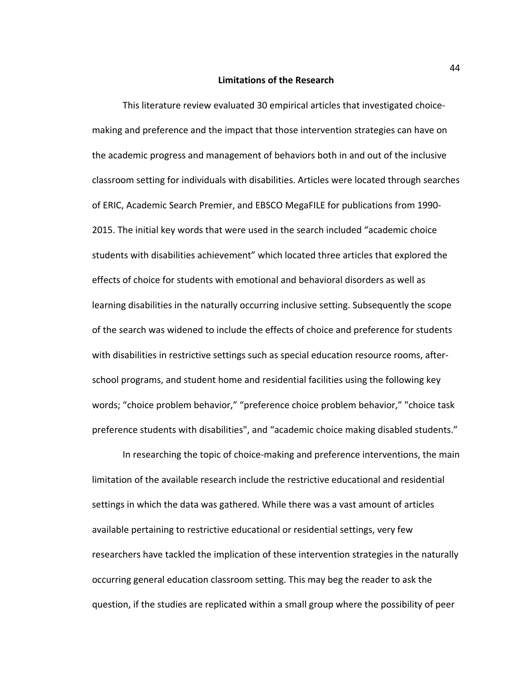#### **Limitations of the Research**

This literature review evaluated 30 empirical articles that investigated choicemaking and preference and the impact that those intervention strategies can have on the academic progress and management of behaviors both in and out of the inclusive classroom setting for individuals with disabilities. Articles were located through searches of ERIC, Academic Search Premier, and EBSCO MegaFILE for publications from 1990- 2015. The initial key words that were used in the search included "academic choice students with disabilities achievement" which located three articles that explored the effects of choice for students with emotional and behavioral disorders as well as learning disabilities in the naturally occurring inclusive setting. Subsequently the scope of the search was widened to include the effects of choice and preference for students with disabilities in restrictive settings such as special education resource rooms, afterschool programs, and student home and residential facilities using the following key words; "choice problem behavior," "preference choice problem behavior," "choice task preference students with disabilities", and "academic choice making disabled students."

In researching the topic of choice-making and preference interventions, the main limitation of the available research include the restrictive educational and residential settings in which the data was gathered. While there was a vast amount of articles available pertaining to restrictive educational or residential settings, very few researchers have tackled the implication of these intervention strategies in the naturally occurring general education classroom setting. This may beg the reader to ask the question, if the studies are replicated within a small group where the possibility of peer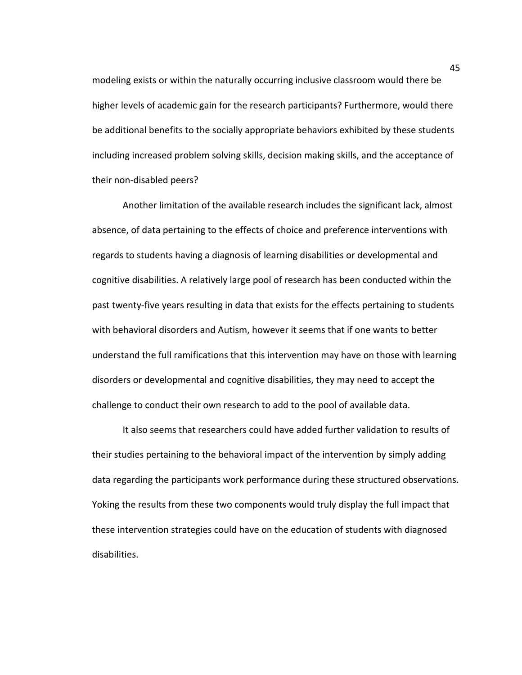modeling exists or within the naturally occurring inclusive classroom would there be higher levels of academic gain for the research participants? Furthermore, would there be additional benefits to the socially appropriate behaviors exhibited by these students including increased problem solving skills, decision making skills, and the acceptance of their non-disabled peers?

Another limitation of the available research includes the significant lack, almost absence, of data pertaining to the effects of choice and preference interventions with regards to students having a diagnosis of learning disabilities or developmental and cognitive disabilities. A relatively large pool of research has been conducted within the past twenty-five years resulting in data that exists for the effects pertaining to students with behavioral disorders and Autism, however it seems that if one wants to better understand the full ramifications that this intervention may have on those with learning disorders or developmental and cognitive disabilities, they may need to accept the challenge to conduct their own research to add to the pool of available data.

It also seems that researchers could have added further validation to results of their studies pertaining to the behavioral impact of the intervention by simply adding data regarding the participants work performance during these structured observations. Yoking the results from these two components would truly display the full impact that these intervention strategies could have on the education of students with diagnosed disabilities.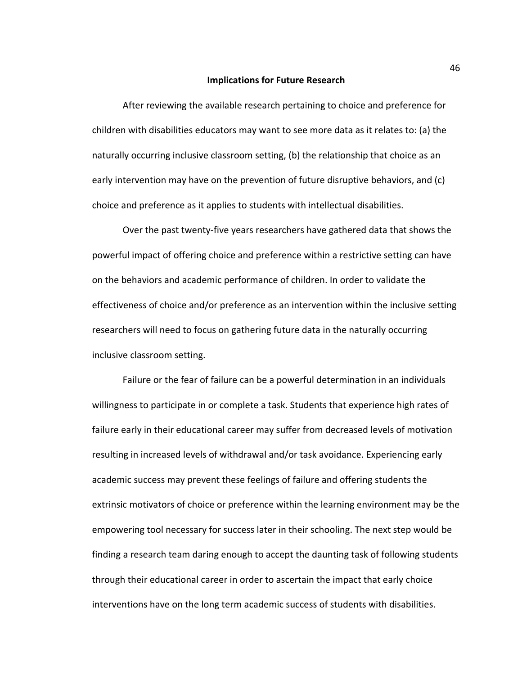#### **Implications for Future Research**

After reviewing the available research pertaining to choice and preference for children with disabilities educators may want to see more data as it relates to: (a) the naturally occurring inclusive classroom setting, (b) the relationship that choice as an early intervention may have on the prevention of future disruptive behaviors, and (c) choice and preference as it applies to students with intellectual disabilities.

Over the past twenty-five years researchers have gathered data that shows the powerful impact of offering choice and preference within a restrictive setting can have on the behaviors and academic performance of children. In order to validate the effectiveness of choice and/or preference as an intervention within the inclusive setting researchers will need to focus on gathering future data in the naturally occurring inclusive classroom setting.

Failure or the fear of failure can be a powerful determination in an individuals willingness to participate in or complete a task. Students that experience high rates of failure early in their educational career may suffer from decreased levels of motivation resulting in increased levels of withdrawal and/or task avoidance. Experiencing early academic success may prevent these feelings of failure and offering students the extrinsic motivators of choice or preference within the learning environment may be the empowering tool necessary for success later in their schooling. The next step would be finding a research team daring enough to accept the daunting task of following students through their educational career in order to ascertain the impact that early choice interventions have on the long term academic success of students with disabilities.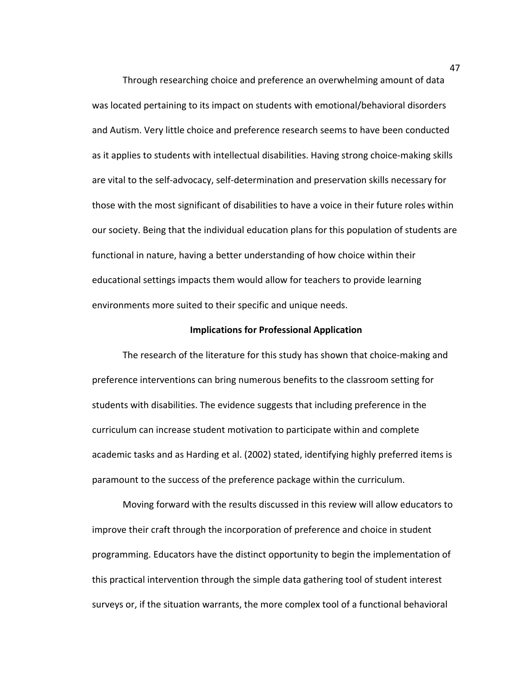Through researching choice and preference an overwhelming amount of data was located pertaining to its impact on students with emotional/behavioral disorders and Autism. Very little choice and preference research seems to have been conducted as it applies to students with intellectual disabilities. Having strong choice-making skills are vital to the self-advocacy, self-determination and preservation skills necessary for those with the most significant of disabilities to have a voice in their future roles within our society. Being that the individual education plans for this population of students are functional in nature, having a better understanding of how choice within their educational settings impacts them would allow for teachers to provide learning environments more suited to their specific and unique needs.

#### **Implications for Professional Application**

The research of the literature for this study has shown that choice-making and preference interventions can bring numerous benefits to the classroom setting for students with disabilities. The evidence suggests that including preference in the curriculum can increase student motivation to participate within and complete academic tasks and as Harding et al. (2002) stated, identifying highly preferred items is paramount to the success of the preference package within the curriculum.

Moving forward with the results discussed in this review will allow educators to improve their craft through the incorporation of preference and choice in student programming. Educators have the distinct opportunity to begin the implementation of this practical intervention through the simple data gathering tool of student interest surveys or, if the situation warrants, the more complex tool of a functional behavioral

47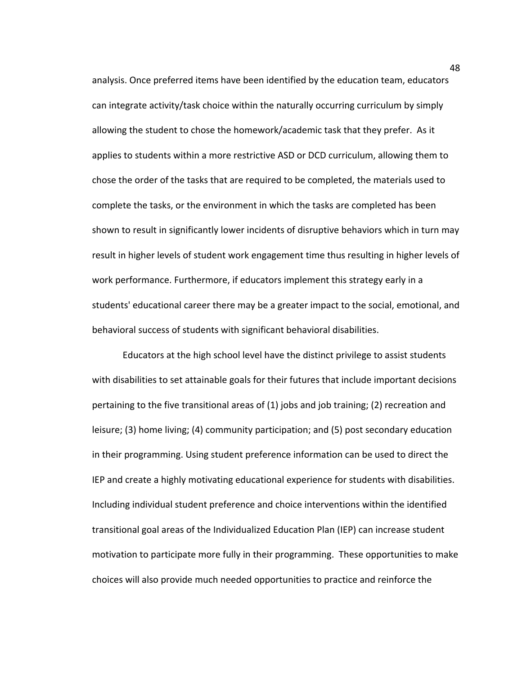analysis. Once preferred items have been identified by the education team, educators can integrate activity/task choice within the naturally occurring curriculum by simply allowing the student to chose the homework/academic task that they prefer. As it applies to students within a more restrictive ASD or DCD curriculum, allowing them to chose the order of the tasks that are required to be completed, the materials used to complete the tasks, or the environment in which the tasks are completed has been shown to result in significantly lower incidents of disruptive behaviors which in turn may result in higher levels of student work engagement time thus resulting in higher levels of work performance. Furthermore, if educators implement this strategy early in a students' educational career there may be a greater impact to the social, emotional, and behavioral success of students with significant behavioral disabilities.

Educators at the high school level have the distinct privilege to assist students with disabilities to set attainable goals for their futures that include important decisions pertaining to the five transitional areas of (1) jobs and job training; (2) recreation and leisure; (3) home living; (4) community participation; and (5) post secondary education in their programming. Using student preference information can be used to direct the IEP and create a highly motivating educational experience for students with disabilities. Including individual student preference and choice interventions within the identified transitional goal areas of the Individualized Education Plan (IEP) can increase student motivation to participate more fully in their programming. These opportunities to make choices will also provide much needed opportunities to practice and reinforce the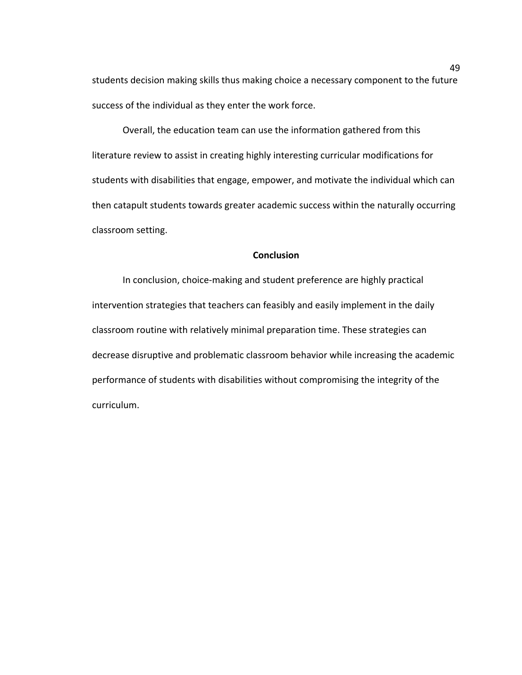students decision making skills thus making choice a necessary component to the future success of the individual as they enter the work force.

Overall, the education team can use the information gathered from this literature review to assist in creating highly interesting curricular modifications for students with disabilities that engage, empower, and motivate the individual which can then catapult students towards greater academic success within the naturally occurring classroom setting.

## **Conclusion**

In conclusion, choice-making and student preference are highly practical intervention strategies that teachers can feasibly and easily implement in the daily classroom routine with relatively minimal preparation time. These strategies can decrease disruptive and problematic classroom behavior while increasing the academic performance of students with disabilities without compromising the integrity of the curriculum.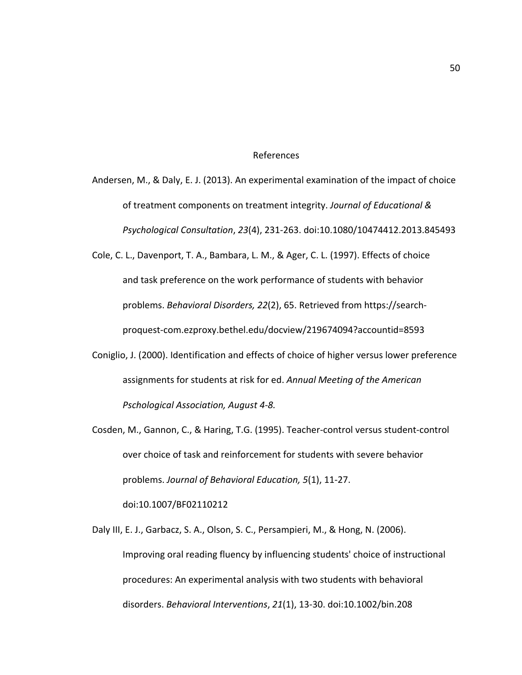#### References

Andersen, M., & Daly, E. J. (2013). An experimental examination of the impact of choice of treatment components on treatment integrity. *Journal of Educational & Psychological Consultation*, *23*(4), 231-263. doi:10.1080/10474412.2013.845493

Cole, C. L., Davenport, T. A., Bambara, L. M., & Ager, C. L. (1997). Effects of choice and task preference on the work performance of students with behavior problems. *Behavioral Disorders, 22*(2), 65. Retrieved from https://search proquest-com.ezproxy.bethel.edu/docview/219674094?accountid=8593

- Coniglio, J. (2000). Identification and effects of choice of higher versus lower preference assignments for students at risk for ed. *Annual Meeting of the American Pschological Association, August 4-8.*
- Cosden, M., Gannon, C., & Haring, T.G. (1995). Teacher-control versus student-control over choice of task and reinforcement for students with severe behavior problems. *Journal of Behavioral Education, 5*(1), 11-27.

doi:10.1007/BF02110212

Daly III, E. J., Garbacz, S. A., Olson, S. C., Persampieri, M., & Hong, N. (2006). Improving oral reading fluency by influencing students' choice of instructional procedures: An experimental analysis with two students with behavioral disorders. *Behavioral Interventions*, *21*(1), 13-30. doi:10.1002/bin.208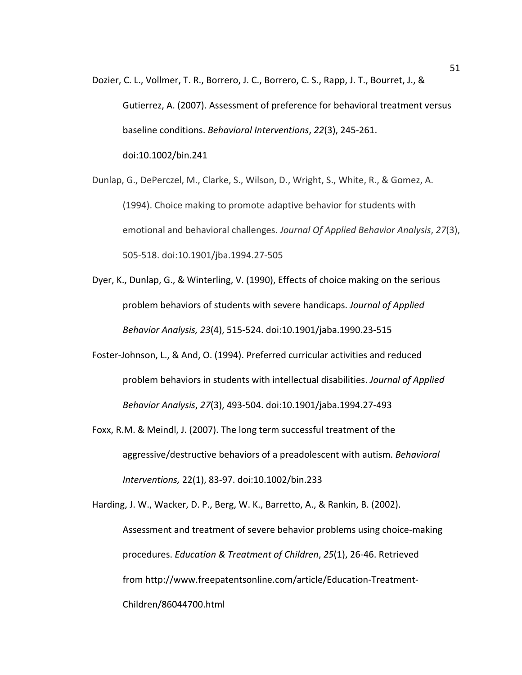Dozier, C. L., Vollmer, T. R., Borrero, J. C., Borrero, C. S., Rapp, J. T., Bourret, J., & Gutierrez, A. (2007). Assessment of preference for behavioral treatment versus baseline conditions. *Behavioral Interventions*, *22*(3), 245-261. doi:10.1002/bin.241

Dunlap, G., DePerczel, M., Clarke, S., Wilson, D., Wright, S., White, R., & Gomez, A. (1994). Choice making to promote adaptive behavior for students with emotional and behavioral challenges. *Journal Of Applied Behavior Analysis*, *27*(3), 505-518. doi:10.1901/jba.1994.27-505

- Dyer, K., Dunlap, G., & Winterling, V. (1990), Effects of choice making on the serious problem behaviors of students with severe handicaps. *Journal of Applied Behavior Analysis, 23*(4), 515-524. doi:10.1901/jaba.1990.23-515
- Foster-Johnson, L., & And, O. (1994). Preferred curricular activities and reduced problem behaviors in students with intellectual disabilities. *Journal of Applied Behavior Analysis*, *27*(3), 493-504. doi:10.1901/jaba.1994.27-493
- Foxx, R.M. & Meindl, J. (2007). The long term successful treatment of the aggressive/destructive behaviors of a preadolescent with autism. *Behavioral Interventions,* 22(1), 83-97. doi:10.1002/bin.233

Harding, J. W., Wacker, D. P., Berg, W. K., Barretto, A., & Rankin, B. (2002). Assessment and treatment of severe behavior problems using choice-making procedures. *Education & Treatment of Children*, *25*(1), 26-46. Retrieved from http://www.freepatentsonline.com/article/Education-Treatment-Children/86044700.html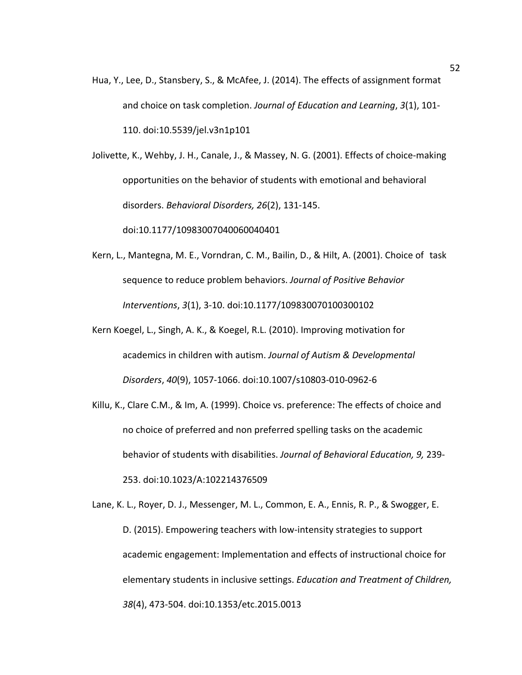Hua, Y., Lee, D., Stansbery, S., & McAfee, J. (2014). The effects of assignment format and choice on task completion. *Journal of Education and Learning*, *3*(1), 101- 110. doi:10.5539/jel.v3n1p101

Jolivette, K., Wehby, J. H., Canale, J., & Massey, N. G. (2001). Effects of choice-making opportunities on the behavior of students with emotional and behavioral disorders. *Behavioral Disorders, 26*(2), 131-145.

doi:10.1177/10983007040060040401

- Kern, L., Mantegna, M. E., Vorndran, C. M., Bailin, D., & Hilt, A. (2001). Choice of task sequence to reduce problem behaviors. *Journal of Positive Behavior Interventions*, *3*(1), 3-10. doi:10.1177/109830070100300102
- Kern Koegel, L., Singh, A. K., & Koegel, R.L. (2010). Improving motivation for academics in children with autism. *Journal of Autism & Developmental Disorders*, *40*(9), 1057-1066. doi:10.1007/s10803-010-0962-6
- Killu, K., Clare C.M., & Im, A. (1999). Choice vs. preference: The effects of choice and no choice of preferred and non preferred spelling tasks on the academic behavior of students with disabilities. *Journal of Behavioral Education, 9,* 239- 253. doi:10.1023/A:102214376509

Lane, K. L., Royer, D. J., Messenger, M. L., Common, E. A., Ennis, R. P., & Swogger, E. D. (2015). Empowering teachers with low-intensity strategies to support academic engagement: Implementation and effects of instructional choice for elementary students in inclusive settings. *Education and Treatment of Children, 38*(4), 473-504. doi:10.1353/etc.2015.0013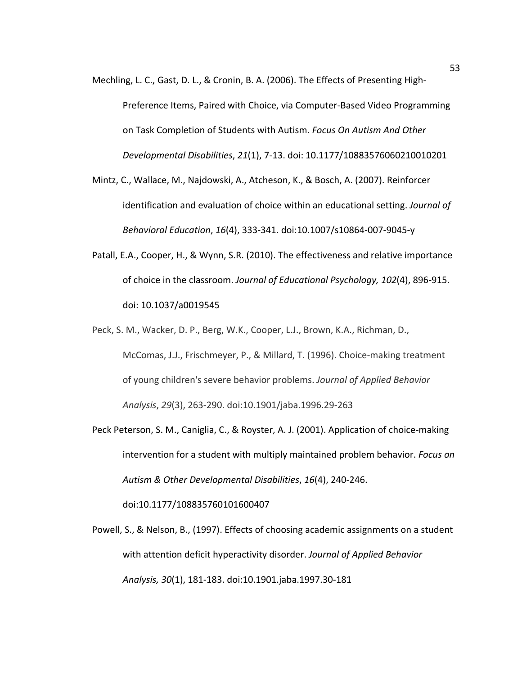- Mechling, L. C., Gast, D. L., & Cronin, B. A. (2006). The Effects of Presenting High-Preference Items, Paired with Choice, via Computer-Based Video Programming on Task Completion of Students with Autism. *Focus On Autism And Other Developmental Disabilities*, *21*(1), 7-13. doi: 10.1177/10883576060210010201
- Mintz, C., Wallace, M., Najdowski, A., Atcheson, K., & Bosch, A. (2007). Reinforcer identification and evaluation of choice within an educational setting. *Journal of Behavioral Education*, *16*(4), 333-341. doi:10.1007/s10864-007-9045-y
- Patall, E.A., Cooper, H., & Wynn, S.R. (2010). The effectiveness and relative importance of choice in the classroom. *Journal of Educational Psychology, 102*(4), 896-915. doi: 10.1037/a0019545
- Peck, S. M., Wacker, D. P., Berg, W.K., Cooper, L.J., Brown, K.A., Richman, D., McComas, J.J., Frischmeyer, P., & Millard, T. (1996). Choice-making treatment of young children's severe behavior problems. *Journal of Applied Behavior Analysis*, *29*(3), 263-290. doi:10.1901/jaba.1996.29-263
- Peck Peterson, S. M., Caniglia, C., & Royster, A. J. (2001). Application of choice-making intervention for a student with multiply maintained problem behavior. *Focus on Autism & Other Developmental Disabilities*, *16*(4), 240-246.

doi:10.1177/108835760101600407

Powell, S., & Nelson, B., (1997). Effects of choosing academic assignments on a student with attention deficit hyperactivity disorder. *Journal of Applied Behavior Analysis, 30*(1), 181-183. doi:10.1901.jaba.1997.30-181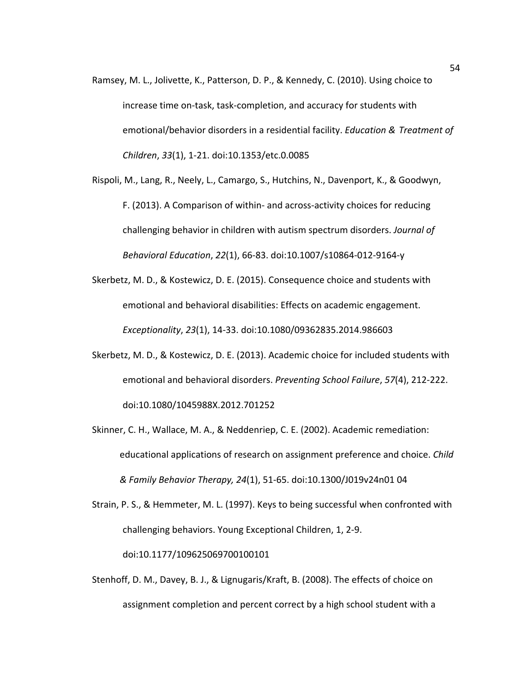- Ramsey, M. L., Jolivette, K., Patterson, D. P., & Kennedy, C. (2010). Using choice to increase time on-task, task-completion, and accuracy for students with emotional/behavior disorders in a residential facility. *Education & Treatment of Children*, *33*(1), 1-21. doi:10.1353/etc.0.0085
- Rispoli, M., Lang, R., Neely, L., Camargo, S., Hutchins, N., Davenport, K., & Goodwyn, F. (2013). A Comparison of within- and across-activity choices for reducing challenging behavior in children with autism spectrum disorders. *Journal of Behavioral Education*, *22*(1), 66-83. doi:10.1007/s10864-012-9164-y
- Skerbetz, M. D., & Kostewicz, D. E. (2015). Consequence choice and students with emotional and behavioral disabilities: Effects on academic engagement. *Exceptionality*, *23*(1), 14-33. doi:10.1080/09362835.2014.986603
- Skerbetz, M. D., & Kostewicz, D. E. (2013). Academic choice for included students with emotional and behavioral disorders. *Preventing School Failure*, *57*(4), 212-222. doi:10.1080/1045988X.2012.701252
- Skinner, C. H., Wallace, M. A., & Neddenriep, C. E. (2002). Academic remediation: educational applications of research on assignment preference and choice. *Child & Family Behavior Therapy, 24*(1), 51-65. doi:10.1300/J019v24n01 04
- Strain, P. S., & Hemmeter, M. L. (1997). Keys to being successful when confronted with challenging behaviors. Young Exceptional Children, 1, 2-9. doi:10.1177/109625069700100101
- Stenhoff, D. M., Davey, B. J., & Lignugaris/Kraft, B. (2008). The effects of choice on assignment completion and percent correct by a high school student with a